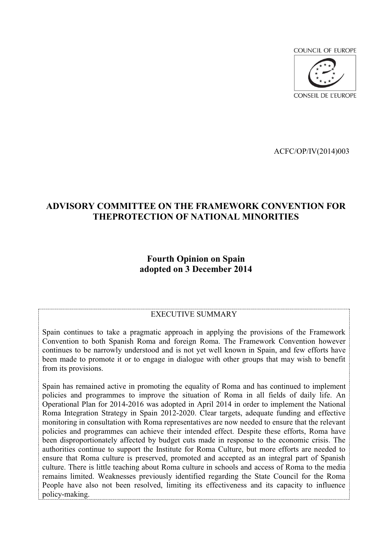**COUNCIL OF EUROPE** 



ACFC/OP/IV(2014)003

# **ADVISORY COMMITTEE ON THE FRAMEWORK CONVENTION FOR THEPROTECTION OF NATIONAL MINORITIES**

# **Fourth Opinion on Spain adopted on 3 December 2014**

#### EXECUTIVE SUMMARY

Spain continues to take a pragmatic approach in applying the provisions of the Framework Convention to both Spanish Roma and foreign Roma. The Framework Convention however continues to be narrowly understood and is not yet well known in Spain, and few efforts have been made to promote it or to engage in dialogue with other groups that may wish to benefit from its provisions.

Spain has remained active in promoting the equality of Roma and has continued to implement policies and programmes to improve the situation of Roma in all fields of daily life. An Operational Plan for 2014-2016 was adopted in April 2014 in order to implement the National Roma Integration Strategy in Spain 2012-2020. Clear targets, adequate funding and effective monitoring in consultation with Roma representatives are now needed to ensure that the relevant policies and programmes can achieve their intended effect. Despite these efforts, Roma have been disproportionately affected by budget cuts made in response to the economic crisis. The authorities continue to support the Institute for Roma Culture, but more efforts are needed to ensure that Roma culture is preserved, promoted and accepted as an integral part of Spanish culture. There is little teaching about Roma culture in schools and access of Roma to the media remains limited. Weaknesses previously identified regarding the State Council for the Roma People have also not been resolved, limiting its effectiveness and its capacity to influence policy-making.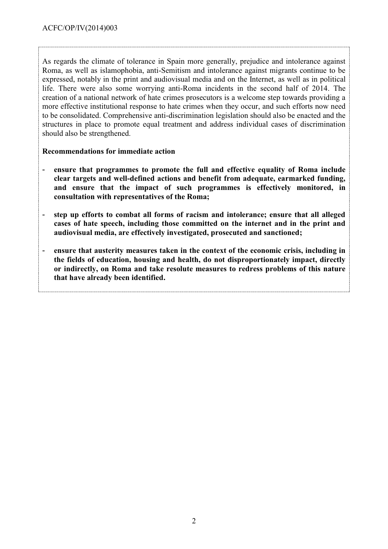As regards the climate of tolerance in Spain more generally, prejudice and intolerance against Roma, as well as islamophobia, anti-Semitism and intolerance against migrants continue to be expressed, notably in the print and audiovisual media and on the Internet, as well as in political life. There were also some worrying anti-Roma incidents in the second half of 2014. The creation of a national network of hate crimes prosecutors is a welcome step towards providing a more effective institutional response to hate crimes when they occur, and such efforts now need to be consolidated. Comprehensive anti-discrimination legislation should also be enacted and the structures in place to promote equal treatment and address individual cases of discrimination should also be strengthened.

## **Recommendations for immediate action**

- **ensure that programmes to promote the full and effective equality of Roma include clear targets and well-defined actions and benefit from adequate, earmarked funding, and ensure that the impact of such programmes is effectively monitored, in consultation with representatives of the Roma;**
- **step up efforts to combat all forms of racism and intolerance; ensure that all alleged cases of hate speech, including those committed on the internet and in the print and audiovisual media, are effectively investigated, prosecuted and sanctioned;**
- **ensure that austerity measures taken in the context of the economic crisis, including in the fields of education, housing and health, do not disproportionately impact, directly or indirectly, on Roma and take resolute measures to redress problems of this nature that have already been identified.**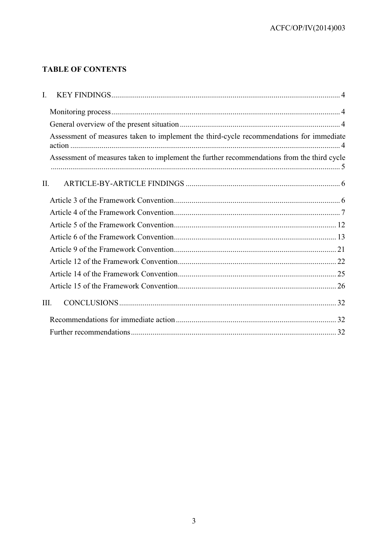# **TABLE OF CONTENTS**

| L.                                                                                         |  |
|--------------------------------------------------------------------------------------------|--|
|                                                                                            |  |
|                                                                                            |  |
| Assessment of measures taken to implement the third-cycle recommendations for immediate    |  |
| Assessment of measures taken to implement the further recommendations from the third cycle |  |
| II.                                                                                        |  |
|                                                                                            |  |
|                                                                                            |  |
|                                                                                            |  |
|                                                                                            |  |
|                                                                                            |  |
|                                                                                            |  |
|                                                                                            |  |
|                                                                                            |  |
| III.                                                                                       |  |
|                                                                                            |  |
|                                                                                            |  |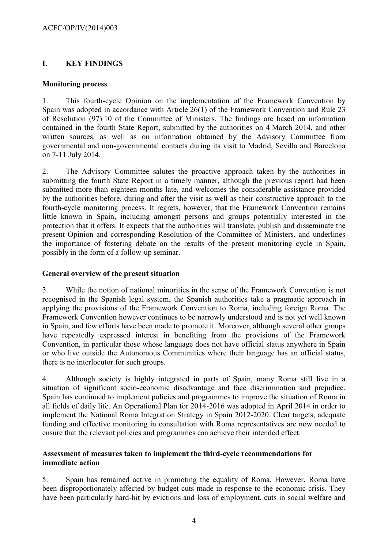# <span id="page-3-0"></span>**I. KEY FINDINGS**

## <span id="page-3-1"></span>**Monitoring process**

1. This fourth-cycle Opinion on the implementation of the Framework Convention by Spain was adopted in accordance with Article 26(1) of the Framework Convention and Rule 23 of Resolution (97) 10 of the Committee of Ministers. The findings are based on information contained in the fourth State Report, submitted by the authorities on 4 March 2014, and other written sources, as well as on information obtained by the Advisory Committee from governmental and non-governmental contacts during its visit to Madrid, Sevilla and Barcelona on 7-11 July 2014.

2. The Advisory Committee salutes the proactive approach taken by the authorities in submitting the fourth State Report in a timely manner, although the previous report had been submitted more than eighteen months late, and welcomes the considerable assistance provided by the authorities before, during and after the visit as well as their constructive approach to the fourth-cycle monitoring process. It regrets, however, that the Framework Convention remains little known in Spain, including amongst persons and groups potentially interested in the protection that it offers. It expects that the authorities will translate, publish and disseminate the present Opinion and corresponding Resolution of the Committee of Ministers, and underlines the importance of fostering debate on the results of the present monitoring cycle in Spain, possibly in the form of a follow-up seminar.

## <span id="page-3-2"></span>**General overview of the present situation**

3. While the notion of national minorities in the sense of the Framework Convention is not recognised in the Spanish legal system, the Spanish authorities take a pragmatic approach in applying the provisions of the Framework Convention to Roma, including foreign Roma. The Framework Convention however continues to be narrowly understood and is not yet well known in Spain, and few efforts have been made to promote it. Moreover, although several other groups have repeatedly expressed interest in benefiting from the provisions of the Framework Convention, in particular those whose language does not have official status anywhere in Spain or who live outside the Autonomous Communities where their language has an official status, there is no interlocutor for such groups.

4. Although society is highly integrated in parts of Spain, many Roma still live in a situation of significant socio-economic disadvantage and face discrimination and prejudice. Spain has continued to implement policies and programmes to improve the situation of Roma in all fields of daily life. An Operational Plan for 2014-2016 was adopted in April 2014 in order to implement the National Roma Integration Strategy in Spain 2012-2020. Clear targets, adequate funding and effective monitoring in consultation with Roma representatives are now needed to ensure that the relevant policies and programmes can achieve their intended effect.

# <span id="page-3-3"></span>**Assessment of measures taken to implement the third-cycle recommendations for immediate action**

5. Spain has remained active in promoting the equality of Roma. However, Roma have been disproportionately affected by budget cuts made in response to the economic crisis. They have been particularly hard-hit by evictions and loss of employment, cuts in social welfare and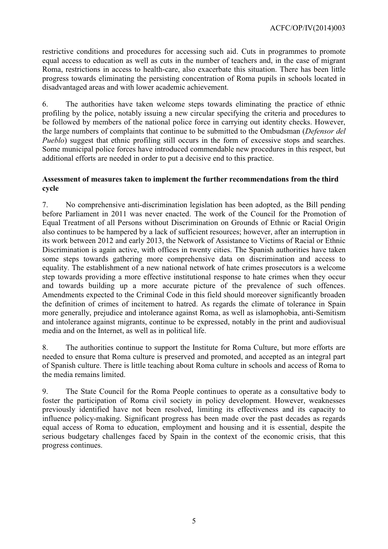restrictive conditions and procedures for accessing such aid. Cuts in programmes to promote equal access to education as well as cuts in the number of teachers and, in the case of migrant Roma, restrictions in access to health-care, also exacerbate this situation. There has been little progress towards eliminating the persisting concentration of Roma pupils in schools located in disadvantaged areas and with lower academic achievement.

6. The authorities have taken welcome steps towards eliminating the practice of ethnic profiling by the police, notably issuing a new circular specifying the criteria and procedures to be followed by members of the national police force in carrying out identity checks. However, the large numbers of complaints that continue to be submitted to the Ombudsman (*Defensor del Pueblo*) suggest that ethnic profiling still occurs in the form of excessive stops and searches. Some municipal police forces have introduced commendable new procedures in this respect, but additional efforts are needed in order to put a decisive end to this practice.

## <span id="page-4-0"></span>**Assessment of measures taken to implement the further recommendations from the third cycle**

7. No comprehensive anti-discrimination legislation has been adopted, as the Bill pending before Parliament in 2011 was never enacted. The work of the Council for the Promotion of Equal Treatment of all Persons without Discrimination on Grounds of Ethnic or Racial Origin also continues to be hampered by a lack of sufficient resources; however, after an interruption in its work between 2012 and early 2013, the Network of Assistance to Victims of Racial or Ethnic Discrimination is again active, with offices in twenty cities. The Spanish authorities have taken some steps towards gathering more comprehensive data on discrimination and access to equality. The establishment of a new national network of hate crimes prosecutors is a welcome step towards providing a more effective institutional response to hate crimes when they occur and towards building up a more accurate picture of the prevalence of such offences. Amendments expected to the Criminal Code in this field should moreover significantly broaden the definition of crimes of incitement to hatred. As regards the climate of tolerance in Spain more generally, prejudice and intolerance against Roma, as well as islamophobia, anti-Semitism and intolerance against migrants, continue to be expressed, notably in the print and audiovisual media and on the Internet, as well as in political life.

8. The authorities continue to support the Institute for Roma Culture, but more efforts are needed to ensure that Roma culture is preserved and promoted, and accepted as an integral part of Spanish culture. There is little teaching about Roma culture in schools and access of Roma to the media remains limited.

9. The State Council for the Roma People continues to operate as a consultative body to foster the participation of Roma civil society in policy development. However, weaknesses previously identified have not been resolved, limiting its effectiveness and its capacity to influence policy-making. Significant progress has been made over the past decades as regards equal access of Roma to education, employment and housing and it is essential, despite the serious budgetary challenges faced by Spain in the context of the economic crisis, that this progress continues.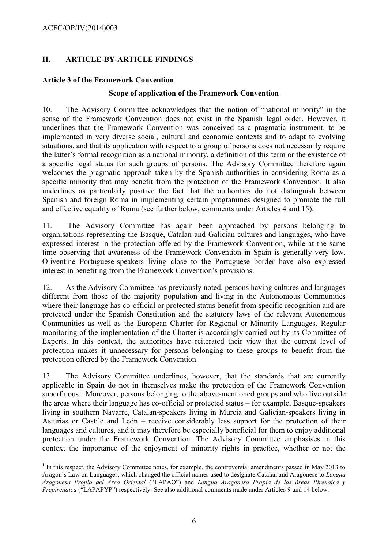# <span id="page-5-0"></span>**II. ARTICLE-BY-ARTICLE FINDINGS**

# <span id="page-5-1"></span>**Article 3 of the Framework Convention**

#### **Scope of application of the Framework Convention**

10. The Advisory Committee acknowledges that the notion of "national minority" in the sense of the Framework Convention does not exist in the Spanish legal order. However, it underlines that the Framework Convention was conceived as a pragmatic instrument, to be implemented in very diverse social, cultural and economic contexts and to adapt to evolving situations, and that its application with respect to a group of persons does not necessarily require the latter's formal recognition as a national minority, a definition of this term or the existence of a specific legal status for such groups of persons. The Advisory Committee therefore again welcomes the pragmatic approach taken by the Spanish authorities in considering Roma as a specific minority that may benefit from the protection of the Framework Convention. It also underlines as particularly positive the fact that the authorities do not distinguish between Spanish and foreign Roma in implementing certain programmes designed to promote the full and effective equality of Roma (see further below, comments under Articles 4 and 15).

11. The Advisory Committee has again been approached by persons belonging to organisations representing the Basque, Catalan and Galician cultures and languages, who have expressed interest in the protection offered by the Framework Convention, while at the same time observing that awareness of the Framework Convention in Spain is generally very low. Oliventine Portuguese-speakers living close to the Portuguese border have also expressed interest in benefiting from the Framework Convention's provisions.

12. As the Advisory Committee has previously noted, persons having cultures and languages different from those of the majority population and living in the Autonomous Communities where their language has co-official or protected status benefit from specific recognition and are protected under the Spanish Constitution and the statutory laws of the relevant Autonomous Communities as well as the European Charter for Regional or Minority Languages. Regular monitoring of the implementation of the Charter is accordingly carried out by its Committee of Experts. In this context, the authorities have reiterated their view that the current level of protection makes it unnecessary for persons belonging to these groups to benefit from the protection offered by the Framework Convention.

13. The Advisory Committee underlines, however, that the standards that are currently applicable in Spain do not in themselves make the protection of the Framework Convention superfluous.<sup>1</sup> Moreover, persons belonging to the above-mentioned groups and who live outside the areas where their language has co-official or protected status – for example, Basque-speakers living in southern Navarre, Catalan-speakers living in Murcia and Galician-speakers living in Asturias or Castile and León – receive considerably less support for the protection of their languages and cultures, and it may therefore be especially beneficial for them to enjoy additional protection under the Framework Convention. The Advisory Committee emphasises in this context the importance of the enjoyment of minority rights in practice, whether or not the

 $<sup>1</sup>$  In this respect, the Advisory Committee notes, for example, the controversial amendments passed in May 2013 to</sup> Aragon's Law on Languages, which changed the official names used to designate Catalan and Aragonese to *Lengua Aragonesa Propia del Área Oriental* ("LAPAO") and *Lengua Aragonesa Propia de las áreas Pirenaica y Prepirenaica* ("LAPAPYP") respectively. See also additional comments made under Articles 9 and 14 below.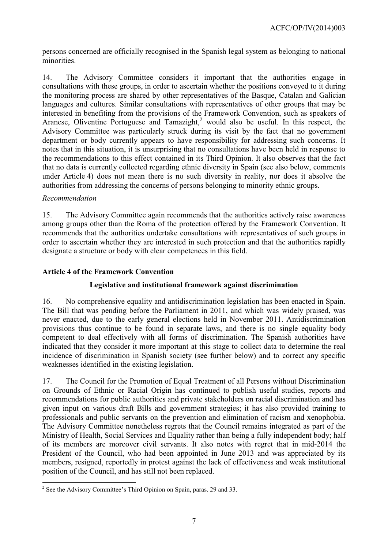persons concerned are officially recognised in the Spanish legal system as belonging to national minorities.

14. The Advisory Committee considers it important that the authorities engage in consultations with these groups, in order to ascertain whether the positions conveyed to it during the monitoring process are shared by other representatives of the Basque, Catalan and Galician languages and cultures. Similar consultations with representatives of other groups that may be interested in benefiting from the provisions of the Framework Convention, such as speakers of Aranese, Oliventine Portuguese and Tamazight,<sup>2</sup> would also be useful. In this respect, the Advisory Committee was particularly struck during its visit by the fact that no government department or body currently appears to have responsibility for addressing such concerns. It notes that in this situation, it is unsurprising that no consultations have been held in response to the recommendations to this effect contained in its Third Opinion. It also observes that the fact that no data is currently collected regarding ethnic diversity in Spain (see also below, comments under Article 4) does not mean there is no such diversity in reality, nor does it absolve the authorities from addressing the concerns of persons belonging to minority ethnic groups.

## *Recommendation*

15. The Advisory Committee again recommends that the authorities actively raise awareness among groups other than the Roma of the protection offered by the Framework Convention. It recommends that the authorities undertake consultations with representatives of such groups in order to ascertain whether they are interested in such protection and that the authorities rapidly designate a structure or body with clear competences in this field.

# <span id="page-6-0"></span>**Article 4 of the Framework Convention**

# **Legislative and institutional framework against discrimination**

16. No comprehensive equality and antidiscrimination legislation has been enacted in Spain. The Bill that was pending before the Parliament in 2011, and which was widely praised, was never enacted, due to the early general elections held in November 2011. Antidiscrimination provisions thus continue to be found in separate laws, and there is no single equality body competent to deal effectively with all forms of discrimination. The Spanish authorities have indicated that they consider it more important at this stage to collect data to determine the real incidence of discrimination in Spanish society (see further below) and to correct any specific weaknesses identified in the existing legislation.

17. The Council for the Promotion of Equal Treatment of all Persons without Discrimination on Grounds of Ethnic or Racial Origin has continued to publish useful studies, reports and recommendations for public authorities and private stakeholders on racial discrimination and has given input on various draft Bills and government strategies; it has also provided training to professionals and public servants on the prevention and elimination of racism and xenophobia. The Advisory Committee nonetheless regrets that the Council remains integrated as part of the Ministry of Health, Social Services and Equality rather than being a fully independent body; half of its members are moreover civil servants. It also notes with regret that in mid-2014 the President of the Council, who had been appointed in June 2013 and was appreciated by its members, resigned, reportedly in protest against the lack of effectiveness and weak institutional position of the Council, and has still not been replaced.

<sup>&</sup>lt;sup>2</sup> See the Advisory Committee's Third Opinion on Spain, paras. 29 and 33.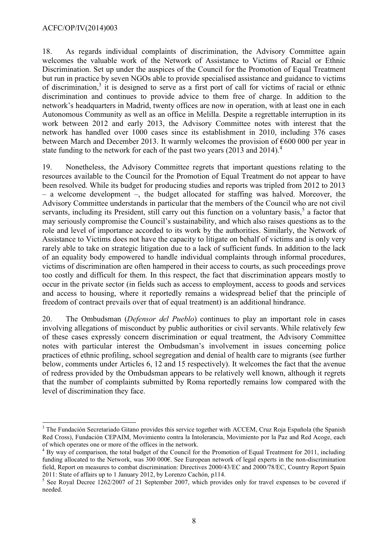18. As regards individual complaints of discrimination, the Advisory Committee again welcomes the valuable work of the Network of Assistance to Victims of Racial or Ethnic Discrimination. Set up under the auspices of the Council for the Promotion of Equal Treatment but run in practice by seven NGOs able to provide specialised assistance and guidance to victims of discrimination,<sup>3</sup> it is designed to serve as a first port of call for victims of racial or ethnic discrimination and continues to provide advice to them free of charge. In addition to the network's headquarters in Madrid, twenty offices are now in operation, with at least one in each Autonomous Community as well as an office in Melilla. Despite a regrettable interruption in its work between 2012 and early 2013, the Advisory Committee notes with interest that the network has handled over 1000 cases since its establishment in 2010, including 376 cases between March and December 2013. It warmly welcomes the provision of  $\epsilon$ 600 000 per year in state funding to the network for each of the past two years  $(2013 \text{ and } 2014)^4$ .

19. Nonetheless, the Advisory Committee regrets that important questions relating to the resources available to the Council for the Promotion of Equal Treatment do not appear to have been resolved. While its budget for producing studies and reports was tripled from 2012 to 2013 – a welcome development –, the budget allocated for staffing was halved. Moreover, the Advisory Committee understands in particular that the members of the Council who are not civil servants, including its President, still carry out this function on a voluntary basis,<sup>5</sup> a factor that may seriously compromise the Council's sustainability, and which also raises questions as to the role and level of importance accorded to its work by the authorities. Similarly, the Network of Assistance to Victims does not have the capacity to litigate on behalf of victims and is only very rarely able to take on strategic litigation due to a lack of sufficient funds. In addition to the lack of an equality body empowered to handle individual complaints through informal procedures, victims of discrimination are often hampered in their access to courts, as such proceedings prove too costly and difficult for them. In this respect, the fact that discrimination appears mostly to occur in the private sector (in fields such as access to employment, access to goods and services and access to housing, where it reportedly remains a widespread belief that the principle of freedom of contract prevails over that of equal treatment) is an additional hindrance.

20. The Ombudsman (*Defensor del Pueblo*) continues to play an important role in cases involving allegations of misconduct by public authorities or civil servants. While relatively few of these cases expressly concern discrimination or equal treatment, the Advisory Committee notes with particular interest the Ombudsman's involvement in issues concerning police practices of ethnic profiling, school segregation and denial of health care to migrants (see further below, comments under Articles 6, 12 and 15 respectively). It welcomes the fact that the avenue of redress provided by the Ombudsman appears to be relatively well known, although it regrets that the number of complaints submitted by Roma reportedly remains low compared with the level of discrimination they face.

<sup>&</sup>lt;sup>3</sup> The Fundación Secretariado Gitano provides this service together with ACCEM, Cruz Roja Española (the Spanish Red Cross), Fundación CEPAIM, Movimiento contra la Intolerancia, Movimiento por la Paz and Red Acoge, each of which operates one or more of the offices in the network.

 $4 By$  way of comparison, the total budget of the Council for the Promotion of Equal Treatment for 2011, including funding allocated to the Network, was 300 000€. See European network of legal experts in the non-discrimination field, Report on measures to combat discrimination: Directives 2000/43/EC and 2000/78/EC, Country Report Spain 2011: State of affairs up to 1 January 2012, by Lorenzo Cachón, p114.

<sup>&</sup>lt;sup>5</sup> See Royal Decree 1262/2007 of 21 September 2007, which provides only for travel expenses to be covered if needed.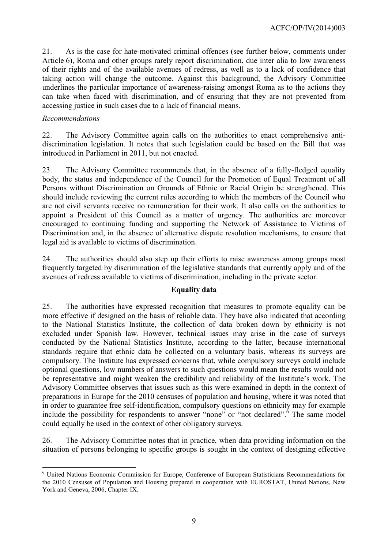21. As is the case for hate-motivated criminal offences (see further below, comments under Article 6), Roma and other groups rarely report discrimination, due inter alia to low awareness of their rights and of the available avenues of redress, as well as to a lack of confidence that taking action will change the outcome. Against this background, the Advisory Committee underlines the particular importance of awareness-raising amongst Roma as to the actions they can take when faced with discrimination, and of ensuring that they are not prevented from accessing justice in such cases due to a lack of financial means.

#### *Recommendations*

22. The Advisory Committee again calls on the authorities to enact comprehensive antidiscrimination legislation. It notes that such legislation could be based on the Bill that was introduced in Parliament in 2011, but not enacted.

23. The Advisory Committee recommends that, in the absence of a fully-fledged equality body, the status and independence of the Council for the Promotion of Equal Treatment of all Persons without Discrimination on Grounds of Ethnic or Racial Origin be strengthened. This should include reviewing the current rules according to which the members of the Council who are not civil servants receive no remuneration for their work. It also calls on the authorities to appoint a President of this Council as a matter of urgency. The authorities are moreover encouraged to continuing funding and supporting the Network of Assistance to Victims of Discrimination and, in the absence of alternative dispute resolution mechanisms, to ensure that legal aid is available to victims of discrimination.

24. The authorities should also step up their efforts to raise awareness among groups most frequently targeted by discrimination of the legislative standards that currently apply and of the avenues of redress available to victims of discrimination, including in the private sector.

## **Equality data**

25. The authorities have expressed recognition that measures to promote equality can be more effective if designed on the basis of reliable data. They have also indicated that according to the National Statistics Institute, the collection of data broken down by ethnicity is not excluded under Spanish law. However, technical issues may arise in the case of surveys conducted by the National Statistics Institute, according to the latter, because international standards require that ethnic data be collected on a voluntary basis, whereas its surveys are compulsory. The Institute has expressed concerns that, while compulsory surveys could include optional questions, low numbers of answers to such questions would mean the results would not be representative and might weaken the credibility and reliability of the Institute's work. The Advisory Committee observes that issues such as this were examined in depth in the context of preparations in Europe for the 2010 censuses of population and housing, where it was noted that in order to guarantee free self-identification, compulsory questions on ethnicity may for example include the possibility for respondents to answer "none" or "not declared".<sup> $\delta$ </sup> The same model could equally be used in the context of other obligatory surveys.

26. The Advisory Committee notes that in practice, when data providing information on the situation of persons belonging to specific groups is sought in the context of designing effective

 <sup>6</sup> United Nations Economic Commission for Europe, Conference of European Statisticians Recommendations for the 2010 Censuses of Population and Housing prepared in cooperation with EUROSTAT, United Nations, New York and Geneva, 2006, Chapter IX.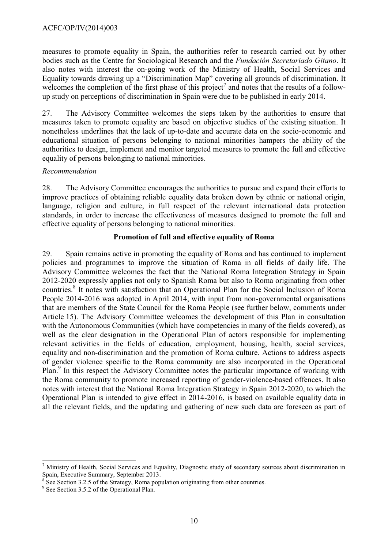measures to promote equality in Spain, the authorities refer to research carried out by other bodies such as the Centre for Sociological Research and the *Fundación Secretariado Gitano*. It also notes with interest the on-going work of the Ministry of Health, Social Services and Equality towards drawing up a "Discrimination Map" covering all grounds of discrimination. It welcomes the completion of the first phase of this project<sup>7</sup> and notes that the results of a followup study on perceptions of discrimination in Spain were due to be published in early 2014.

27. The Advisory Committee welcomes the steps taken by the authorities to ensure that measures taken to promote equality are based on objective studies of the existing situation. It nonetheless underlines that the lack of up-to-date and accurate data on the socio-economic and educational situation of persons belonging to national minorities hampers the ability of the authorities to design, implement and monitor targeted measures to promote the full and effective equality of persons belonging to national minorities.

## *Recommendation*

28. The Advisory Committee encourages the authorities to pursue and expand their efforts to improve practices of obtaining reliable equality data broken down by ethnic or national origin, language, religion and culture, in full respect of the relevant international data protection standards, in order to increase the effectiveness of measures designed to promote the full and effective equality of persons belonging to national minorities.

## **Promotion of full and effective equality of Roma**

29. Spain remains active in promoting the equality of Roma and has continued to implement policies and programmes to improve the situation of Roma in all fields of daily life. The Advisory Committee welcomes the fact that the National Roma Integration Strategy in Spain 2012-2020 expressly applies not only to Spanish Roma but also to Roma originating from other countries.<sup>8</sup> It notes with satisfaction that an Operational Plan for the Social Inclusion of Roma People 2014-2016 was adopted in April 2014, with input from non-governmental organisations that are members of the State Council for the Roma People (see further below, comments under Article 15). The Advisory Committee welcomes the development of this Plan in consultation with the Autonomous Communities (which have competencies in many of the fields covered), as well as the clear designation in the Operational Plan of actors responsible for implementing relevant activities in the fields of education, employment, housing, health, social services, equality and non-discrimination and the promotion of Roma culture. Actions to address aspects of gender violence specific to the Roma community are also incorporated in the Operational Plan.<sup>9</sup> In this respect the Advisory Committee notes the particular importance of working with the Roma community to promote increased reporting of gender-violence-based offences. It also notes with interest that the National Roma Integration Strategy in Spain 2012-2020, to which the Operational Plan is intended to give effect in 2014-2016, is based on available equality data in all the relevant fields, and the updating and gathering of new such data are foreseen as part of

  $<sup>7</sup>$  Ministry of Health, Social Services and Equality, Diagnostic study of secondary sources about discrimination in</sup> Spain, Executive Summary, September 2013.

 $8 \text{ See Section 3.2.5 of the Strategy, Roma population originating from other countries.}$ 

<sup>&</sup>lt;sup>9</sup> See Section 3.5.2 of the Operational Plan.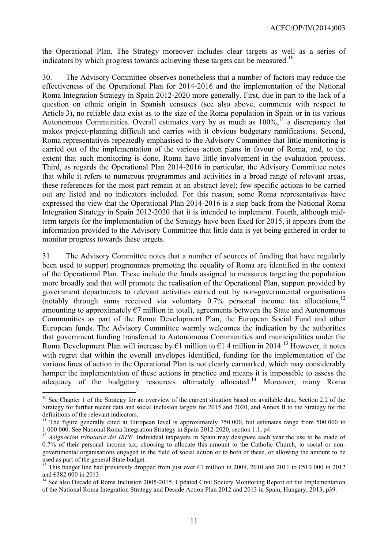the Operational Plan. The Strategy moreover includes clear targets as well as a series of indicators by which progress towards achieving these targets can be measured.<sup>10</sup>

30. The Advisory Committee observes nonetheless that a number of factors may reduce the effectiveness of the Operational Plan for 2014-2016 and the implementation of the National Roma Integration Strategy in Spain 2012-2020 more generally. First, due in part to the lack of a question on ethnic origin in Spanish censuses (see also above, comments with respect to Article 3)**,** no reliable data exist as to the size of the Roma population in Spain or in its various Autonomous Communities. Overall estimates vary by as much as  $100\%$ ,  $\frac{11}{11}$  a discrepancy that makes project-planning difficult and carries with it obvious budgetary ramifications. Second, Roma representatives repeatedly emphasised to the Advisory Committee that little monitoring is carried out of the implementation of the various action plans in favour of Roma, and, to the extent that such monitoring is done, Roma have little involvement in the evaluation process. Third, as regards the Operational Plan 2014-2016 in particular, the Advisory Committee notes that while it refers to numerous programmes and activities in a broad range of relevant areas, these references for the most part remain at an abstract level; few specific actions to be carried out are listed and no indicators included. For this reason, some Roma representatives have expressed the view that the Operational Plan 2014-2016 is a step back from the National Roma Integration Strategy in Spain 2012-2020 that it is intended to implement. Fourth, although midterm targets for the implementation of the Strategy have been fixed for 2015, it appears from the information provided to the Advisory Committee that little data is yet being gathered in order to monitor progress towards these targets.

31. The Advisory Committee notes that a number of sources of funding that have regularly been used to support programmes promoting the equality of Roma are identified in the context of the Operational Plan. These include the funds assigned to measures targeting the population more broadly and that will promote the realisation of the Operational Plan, support provided by government departments to relevant activities carried out by non-governmental organisations (notably through sums received via voluntary 0.7% personal income tax allocations, 12 amounting to approximately  $\epsilon$ 7 million in total), agreements between the State and Autonomous Communities as part of the Roma Development Plan, the European Social Fund and other European funds. The Advisory Committee warmly welcomes the indication by the authorities that government funding transferred to Autonomous Communities and municipalities under the Roma Development Plan will increase by  $\epsilon_1$  million to  $\epsilon_1$ . 4 million in 2014.<sup>13</sup> However, it notes with regret that within the overall envelopes identified, funding for the implementation of the various lines of action in the Operational Plan is not clearly earmarked, which may considerably hamper the implementation of these actions in practice and means it is impossible to assess the adequacy of the budgetary resources ultimately allocated.<sup>14</sup> Moreover, many Roma

 $\overline{a}$ 

<sup>&</sup>lt;sup>10</sup> See Chapter 1 of the Strategy for an overview of the current situation based on available data, Section 2.2 of the Strategy for further recent data and social inclusion targets for 2015 and 2020, and Annex II to the Strategy for the definitions of the relevant indicators.

<sup>11</sup> The figure generally cited at European level is approximately 750 000, but estimates range from 500 000 to 1 000 000. See National Roma Integration Strategy in Spain 2012-2020, section 1.1, p4.

<sup>&</sup>lt;sup>12</sup> Asignación tributaria del IRPF. Individual taxpayers in Spain may designate each year the use to be made of 0.7% of their personal income tax, choosing to allocate this amount to the Catholic Church, to social or nongovernmental organisations engaged in the field of social action or to both of these, or allowing the amount to be used as part of the general State budget.

This budget line had previously dropped from just over  $\epsilon$ 1 million in 2009, 2010 and 2011 to  $\epsilon$ 510 000 in 2012 and €382 000 in 2013.

<sup>&</sup>lt;sup>14</sup> See also Decade of Roma Inclusion 2005-2015, Updated Civil Society Monitoring Report on the Implementation of the National Roma Integration Strategy and Decade Action Plan 2012 and 2013 in Spain, Hungary, 2013, p39.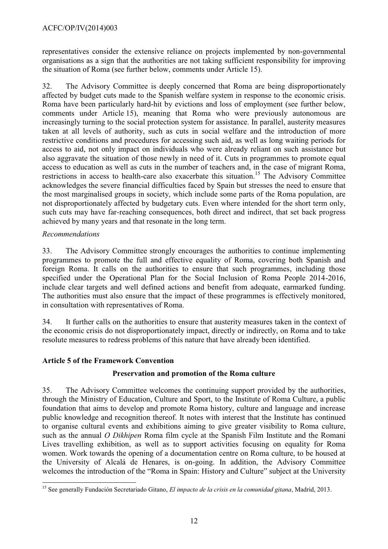representatives consider the extensive reliance on projects implemented by non-governmental organisations as a sign that the authorities are not taking sufficient responsibility for improving the situation of Roma (see further below, comments under Article 15).

32. The Advisory Committee is deeply concerned that Roma are being disproportionately affected by budget cuts made to the Spanish welfare system in response to the economic crisis. Roma have been particularly hard-hit by evictions and loss of employment (see further below, comments under Article 15), meaning that Roma who were previously autonomous are increasingly turning to the social protection system for assistance. In parallel, austerity measures taken at all levels of authority, such as cuts in social welfare and the introduction of more restrictive conditions and procedures for accessing such aid, as well as long waiting periods for access to aid, not only impact on individuals who were already reliant on such assistance but also aggravate the situation of those newly in need of it. Cuts in programmes to promote equal access to education as well as cuts in the number of teachers and, in the case of migrant Roma, restrictions in access to health-care also exacerbate this situation.<sup>15</sup> The Advisory Committee acknowledges the severe financial difficulties faced by Spain but stresses the need to ensure that the most marginalised groups in society, which include some parts of the Roma population, are not disproportionately affected by budgetary cuts. Even where intended for the short term only, such cuts may have far-reaching consequences, both direct and indirect, that set back progress achieved by many years and that resonate in the long term.

# *Recommendations*

33. The Advisory Committee strongly encourages the authorities to continue implementing programmes to promote the full and effective equality of Roma, covering both Spanish and foreign Roma. It calls on the authorities to ensure that such programmes, including those specified under the Operational Plan for the Social Inclusion of Roma People 2014-2016, include clear targets and well defined actions and benefit from adequate, earmarked funding. The authorities must also ensure that the impact of these programmes is effectively monitored, in consultation with representatives of Roma.

34. It further calls on the authorities to ensure that austerity measures taken in the context of the economic crisis do not disproportionately impact, directly or indirectly, on Roma and to take resolute measures to redress problems of this nature that have already been identified.

# <span id="page-11-0"></span>**Article 5 of the Framework Convention**

# **Preservation and promotion of the Roma culture**

35. The Advisory Committee welcomes the continuing support provided by the authorities, through the Ministry of Education, Culture and Sport, to the Institute of Roma Culture, a public foundation that aims to develop and promote Roma history, culture and language and increase public knowledge and recognition thereof. It notes with interest that the Institute has continued to organise cultural events and exhibitions aiming to give greater visibility to Roma culture, such as the annual *O Dikhipen* Roma film cycle at the Spanish Film Institute and the Romani Lives travelling exhibition, as well as to support activities focusing on equality for Roma women. Work towards the opening of a documentation centre on Roma culture, to be housed at the University of Alcalá de Henares, is on-going. In addition, the Advisory Committee welcomes the introduction of the "Roma in Spain: History and Culture" subject at the University

 <sup>15</sup> See generally Fundación Secretariado Gitano, *El impacto de la crisis en la comunidad gitana*, Madrid, 2013.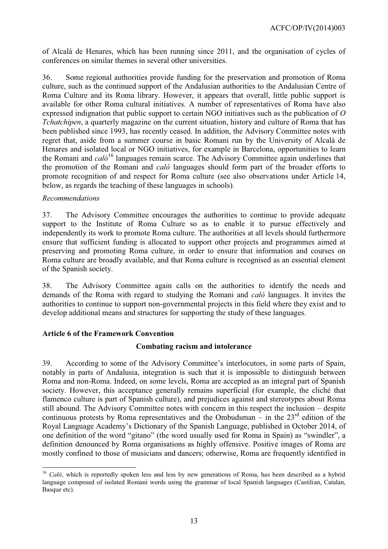of Alcalá de Henares, which has been running since 2011, and the organisation of cycles of conferences on similar themes in several other universities.

36. Some regional authorities provide funding for the preservation and promotion of Roma culture, such as the continued support of the Andalusian authorities to the Andalusian Centre of Roma Culture and its Roma library. However, it appears that overall, little public support is available for other Roma cultural initiatives. A number of representatives of Roma have also expressed indignation that public support to certain NGO initiatives such as the publication of *O Tchatchipen*, a quarterly magazine on the current situation, history and culture of Roma that has been published since 1993, has recently ceased. In addition, the Advisory Committee notes with regret that, aside from a summer course in basic Romani run by the University of Alcalá de Henares and isolated local or NGO initiatives, for example in Barcelona, opportunities to learn the Romani and *caló*<sup>16</sup> languages remain scarce. The Advisory Committee again underlines that the promotion of the Romani and *caló* languages should form part of the broader efforts to promote recognition of and respect for Roma culture (see also observations under Article 14, below, as regards the teaching of these languages in schools).

#### *Recommendations*

37. The Advisory Committee encourages the authorities to continue to provide adequate support to the Institute of Roma Culture so as to enable it to pursue effectively and independently its work to promote Roma culture. The authorities at all levels should furthermore ensure that sufficient funding is allocated to support other projects and programmes aimed at preserving and promoting Roma culture, in order to ensure that information and courses on Roma culture are broadly available, and that Roma culture is recognised as an essential element of the Spanish society.

38. The Advisory Committee again calls on the authorities to identify the needs and demands of the Roma with regard to studying the Romani and *caló* languages. It invites the authorities to continue to support non-governmental projects in this field where they exist and to develop additional means and structures for supporting the study of these languages.

# <span id="page-12-0"></span>**Article 6 of the Framework Convention**

#### **Combating racism and intolerance**

39. According to some of the Advisory Committee's interlocutors, in some parts of Spain, notably in parts of Andalusia, integration is such that it is impossible to distinguish between Roma and non-Roma. Indeed, on some levels, Roma are accepted as an integral part of Spanish society. However, this acceptance generally remains superficial (for example, the cliché that flamenco culture is part of Spanish culture), and prejudices against and stereotypes about Roma still abound. The Advisory Committee notes with concern in this respect the inclusion – despite continuous protests by Roma representatives and the Ombudsman – in the  $23<sup>rd</sup>$  edition of the Royal Language Academy's Dictionary of the Spanish Language, published in October 2014, of one definition of the word "gitano" (the word usually used for Roma in Spain) as "swindler", a definition denounced by Roma organisations as highly offensive. Positive images of Roma are mostly confined to those of musicians and dancers; otherwise, Roma are frequently identified in

 <sup>16</sup> *Caló*, which is reportedly spoken less and less by new generations of Roma, has been described as a hybrid language composed of isolated Romani words using the grammar of local Spanish languages (Castilian, Catalan, Basque etc).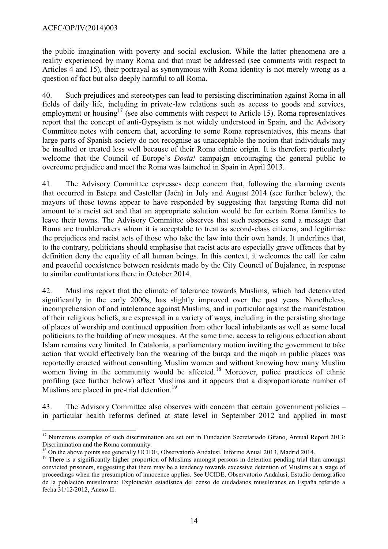the public imagination with poverty and social exclusion. While the latter phenomena are a reality experienced by many Roma and that must be addressed (see comments with respect to Articles 4 and 15), their portrayal as synonymous with Roma identity is not merely wrong as a question of fact but also deeply harmful to all Roma.

40. Such prejudices and stereotypes can lead to persisting discrimination against Roma in all fields of daily life, including in private-law relations such as access to goods and services, employment or housing<sup>17</sup> (see also comments with respect to Article 15). Roma representatives report that the concept of anti-Gypsyism is not widely understood in Spain, and the Advisory Committee notes with concern that, according to some Roma representatives, this means that large parts of Spanish society do not recognise as unacceptable the notion that individuals may be insulted or treated less well because of their Roma ethnic origin. It is therefore particularly welcome that the Council of Europe's *Dosta!* campaign encouraging the general public to overcome prejudice and meet the Roma was launched in Spain in April 2013.

41. The Advisory Committee expresses deep concern that, following the alarming events that occurred in Estepa and Castellar (Jaén) in July and August 2014 (see further below), the mayors of these towns appear to have responded by suggesting that targeting Roma did not amount to a racist act and that an appropriate solution would be for certain Roma families to leave their towns. The Advisory Committee observes that such responses send a message that Roma are troublemakers whom it is acceptable to treat as second-class citizens, and legitimise the prejudices and racist acts of those who take the law into their own hands. It underlines that, to the contrary, politicians should emphasise that racist acts are especially grave offences that by definition deny the equality of all human beings. In this context, it welcomes the call for calm and peaceful coexistence between residents made by the City Council of Bujalance, in response to similar confrontations there in October 2014.

42. Muslims report that the climate of tolerance towards Muslims, which had deteriorated significantly in the early 2000s, has slightly improved over the past years. Nonetheless, incomprehension of and intolerance against Muslims, and in particular against the manifestation of their religious beliefs, are expressed in a variety of ways, including in the persisting shortage of places of worship and continued opposition from other local inhabitants as well as some local politicians to the building of new mosques. At the same time, access to religious education about Islam remains very limited. In Catalonia, a parliamentary motion inviting the government to take action that would effectively ban the wearing of the burqa and the niqab in public places was reportedly enacted without consulting Muslim women and without knowing how many Muslim women living in the community would be affected.<sup>18</sup> Moreover, police practices of ethnic profiling (see further below) affect Muslims and it appears that a disproportionate number of Muslims are placed in pre-trial detention.<sup>19</sup>

43. The Advisory Committee also observes with concern that certain government policies – in particular health reforms defined at state level in September 2012 and applied in most

<sup>&</sup>lt;sup>17</sup> Numerous examples of such discrimination are set out in Fundación Secretariado Gitano, Annual Report 2013: Discrimination and the Roma community.

<sup>&</sup>lt;sup>18</sup> On the above points see generally UCIDE, Observatorio Andalusí, Informe Anual 2013, Madrid 2014.

<sup>&</sup>lt;sup>19</sup> There is a significantly higher proportion of Muslims amongst persons in detention pending trial than amongst convicted prisoners, suggesting that there may be a tendency towards excessive detention of Muslims at a stage of proceedings when the presumption of innocence applies. See UCIDE, Observatorio Andalusí, Estudio demográfico de la población musulmana: Explotación estadística del censo de ciudadanos musulmanes en España referido a fecha 31/12/2012, Anexo II.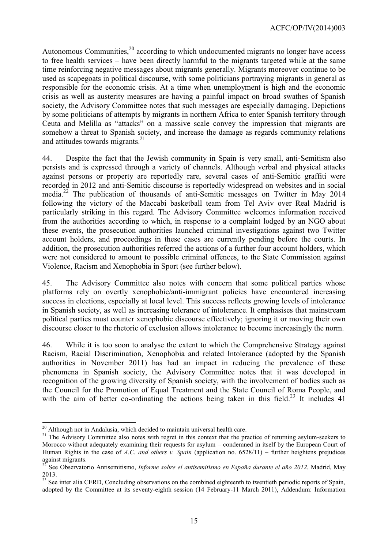Autonomous Communities,<sup>20</sup> according to which undocumented migrants no longer have access to free health services – have been directly harmful to the migrants targeted while at the same time reinforcing negative messages about migrants generally. Migrants moreover continue to be used as scapegoats in political discourse, with some politicians portraying migrants in general as responsible for the economic crisis. At a time when unemployment is high and the economic crisis as well as austerity measures are having a painful impact on broad swathes of Spanish society, the Advisory Committee notes that such messages are especially damaging. Depictions by some politicians of attempts by migrants in northern Africa to enter Spanish territory through Ceuta and Melilla as "attacks" on a massive scale convey the impression that migrants are somehow a threat to Spanish society, and increase the damage as regards community relations and attitudes towards migrants.<sup>21</sup>

44. Despite the fact that the Jewish community in Spain is very small, anti-Semitism also persists and is expressed through a variety of channels. Although verbal and physical attacks against persons or property are reportedly rare, several cases of anti-Semitic graffiti were recorded in 2012 and anti-Semitic discourse is reportedly widespread on websites and in social media.<sup>22</sup> The publication of thousands of anti-Semitic messages on Twitter in May 2014 following the victory of the Maccabi basketball team from Tel Aviv over Real Madrid is particularly striking in this regard. The Advisory Committee welcomes information received from the authorities according to which, in response to a complaint lodged by an NGO about these events, the prosecution authorities launched criminal investigations against two Twitter account holders, and proceedings in these cases are currently pending before the courts. In addition, the prosecution authorities referred the actions of a further four account holders, which were not considered to amount to possible criminal offences, to the State Commission against Violence, Racism and Xenophobia in Sport (see further below).

45. The Advisory Committee also notes with concern that some political parties whose platforms rely on overtly xenophobic/anti-immigrant policies have encountered increasing success in elections, especially at local level. This success reflects growing levels of intolerance in Spanish society, as well as increasing tolerance of intolerance. It emphasises that mainstream political parties must counter xenophobic discourse effectively; ignoring it or moving their own discourse closer to the rhetoric of exclusion allows intolerance to become increasingly the norm.

46. While it is too soon to analyse the extent to which the Comprehensive Strategy against Racism, Racial Discrimination, Xenophobia and related Intolerance (adopted by the Spanish authorities in November 2011) has had an impact in reducing the prevalence of these phenomena in Spanish society, the Advisory Committee notes that it was developed in recognition of the growing diversity of Spanish society, with the involvement of bodies such as the Council for the Promotion of Equal Treatment and the State Council of Roma People, and with the aim of better co-ordinating the actions being taken in this field.<sup>23</sup> It includes 41

 $20$  Although not in Andalusia, which decided to maintain universal health care.

<sup>&</sup>lt;sup>21</sup> The Advisory Committee also notes with regret in this context that the practice of returning asylum-seekers to Morocco without adequately examining their requests for asylum – condemned in itself by the European Court of Human Rights in the case of *A.C. and others v. Spain* (application no. 6528/11) – further heightens prejudices against migrants.

<sup>22</sup> See Observatorio Antisemitismo, *Informe sobre el antisemitismo en España durante el año 2012*, Madrid, May 2013.

<sup>&</sup>lt;sup>23</sup> See inter alia CERD, Concluding observations on the combined eighteenth to twentieth periodic reports of Spain, adopted by the Committee at its seventy-eighth session (14 February-11 March 2011), Addendum: Information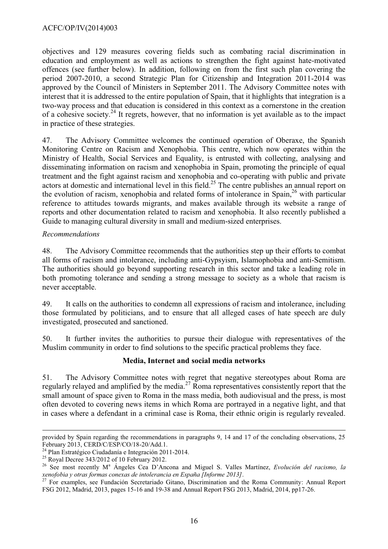objectives and 129 measures covering fields such as combating racial discrimination in education and employment as well as actions to strengthen the fight against hate-motivated offences (see further below). In addition, following on from the first such plan covering the period 2007-2010, a second Strategic Plan for Citizenship and Integration 2011-2014 was approved by the Council of Ministers in September 2011. The Advisory Committee notes with interest that it is addressed to the entire population of Spain, that it highlights that integration is a two-way process and that education is considered in this context as a cornerstone in the creation of a cohesive society.<sup>24</sup> It regrets, however, that no information is yet available as to the impact in practice of these strategies.

47. The Advisory Committee welcomes the continued operation of Oberaxe, the Spanish Monitoring Centre on Racism and Xenophobia. This centre, which now operates within the Ministry of Health, Social Services and Equality, is entrusted with collecting, analysing and disseminating information on racism and xenophobia in Spain, promoting the principle of equal treatment and the fight against racism and xenophobia and co-operating with public and private actors at domestic and international level in this field.<sup>25</sup> The centre publishes an annual report on the evolution of racism, xenophobia and related forms of intolerance in Spain,<sup>26</sup> with particular reference to attitudes towards migrants, and makes available through its website a range of reports and other documentation related to racism and xenophobia. It also recently published a Guide to managing cultural diversity in small and medium-sized enterprises.

# *Recommendations*

48. The Advisory Committee recommends that the authorities step up their efforts to combat all forms of racism and intolerance, including anti-Gypsyism, Islamophobia and anti-Semitism. The authorities should go beyond supporting research in this sector and take a leading role in both promoting tolerance and sending a strong message to society as a whole that racism is never acceptable.

49. It calls on the authorities to condemn all expressions of racism and intolerance, including those formulated by politicians, and to ensure that all alleged cases of hate speech are duly investigated, prosecuted and sanctioned.

50. It further invites the authorities to pursue their dialogue with representatives of the Muslim community in order to find solutions to the specific practical problems they face.

# **Media, Internet and social media networks**

51. The Advisory Committee notes with regret that negative stereotypes about Roma are regularly relayed and amplified by the media.<sup>27</sup> Roma representatives consistently report that the small amount of space given to Roma in the mass media, both audiovisual and the press, is most often devoted to covering news items in which Roma are portrayed in a negative light, and that in cases where a defendant in a criminal case is Roma, their ethnic origin is regularly revealed.

provided by Spain regarding the recommendations in paragraphs 9, 14 and 17 of the concluding observations, 25 February 2013, CERD/C/ESP/CO/18-20/Add.1.

<sup>24</sup> Plan Estratégico Ciudadanía e Integración 2011-2014.

 $25$  Royal Decree 343/2012 of 10 February 2012.

<sup>&</sup>lt;sup>26</sup> See most recently M<sup>a</sup> Ángeles Cea D'Ancona and Miguel S. Valles Martínez, *Evolución del racismo*, la *xenofobia y otras formas conexas de intolerancia en España [Informe 2013]*.

<sup>&</sup>lt;sup>27</sup> For examples, see Fundación Secretariado Gitano, Discrimination and the Roma Community: Annual Report FSG 2012, Madrid, 2013, pages 15-16 and 19-38 and Annual Report FSG 2013, Madrid, 2014, pp17-26.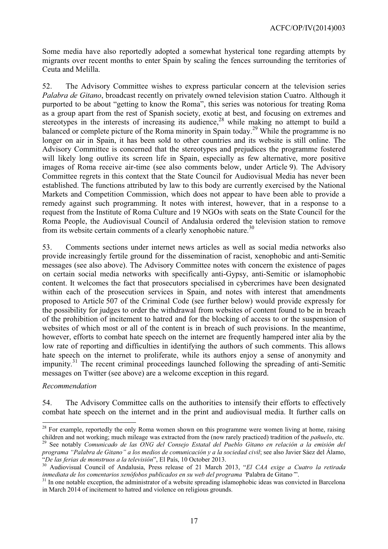Some media have also reportedly adopted a somewhat hysterical tone regarding attempts by migrants over recent months to enter Spain by scaling the fences surrounding the territories of Ceuta and Melilla.

52. The Advisory Committee wishes to express particular concern at the television series *Palabra de Gitano*, broadcast recently on privately owned television station Cuatro. Although it purported to be about "getting to know the Roma", this series was notorious for treating Roma as a group apart from the rest of Spanish society, exotic at best, and focusing on extremes and stereotypes in the interests of increasing its audience,<sup>28</sup> while making no attempt to build a balanced or complete picture of the Roma minority in Spain today.<sup>29</sup> While the programme is no longer on air in Spain, it has been sold to other countries and its website is still online. The Advisory Committee is concerned that the stereotypes and prejudices the programme fostered will likely long outlive its screen life in Spain, especially as few alternative, more positive images of Roma receive air-time (see also comments below, under Article 9). The Advisory Committee regrets in this context that the State Council for Audiovisual Media has never been established. The functions attributed by law to this body are currently exercised by the National Markets and Competition Commission, which does not appear to have been able to provide a remedy against such programming. It notes with interest, however, that in a response to a request from the Institute of Roma Culture and 19 NGOs with seats on the State Council for the Roma People, the Audiovisual Council of Andalusia ordered the television station to remove from its website certain comments of a clearly xenophobic nature.<sup>30</sup>

53. Comments sections under internet news articles as well as social media networks also provide increasingly fertile ground for the dissemination of racist, xenophobic and anti-Semitic messages (see also above). The Advisory Committee notes with concern the existence of pages on certain social media networks with specifically anti-Gypsy, anti-Semitic or islamophobic content. It welcomes the fact that prosecutors specialised in cybercrimes have been designated within each of the prosecution services in Spain, and notes with interest that amendments proposed to Article 507 of the Criminal Code (see further below) would provide expressly for the possibility for judges to order the withdrawal from websites of content found to be in breach of the prohibition of incitement to hatred and for the blocking of access to or the suspension of websites of which most or all of the content is in breach of such provisions. In the meantime, however, efforts to combat hate speech on the internet are frequently hampered inter alia by the low rate of reporting and difficulties in identifying the authors of such comments. This allows hate speech on the internet to proliferate, while its authors enjoy a sense of anonymity and impunity.<sup>31</sup> The recent criminal proceedings launched following the spreading of anti-Semitic messages on Twitter (see above) are a welcome exception in this regard.

#### *Recommendation*

54. The Advisory Committee calls on the authorities to intensify their efforts to effectively combat hate speech on the internet and in the print and audiovisual media. It further calls on

 $2<sup>28</sup>$  For example, reportedly the only Roma women shown on this programme were women living at home, raising children and not working; much mileage was extracted from the (now rarely practiced) tradition of the *pañuelo*, etc.

<sup>29</sup> See notably *Comunicado de las ONG del Consejo Estatal del Pueblo Gitano en relación a la emisión del programa "Palabra de Gitano" a los medios de comunicación y a la sociedad civil*; see also Javier Sáez del Álamo, "*De las ferias de monstruos a la televisión*", El País, 10 October 2013.

<sup>30</sup> Audiovisual Council of Andalusia, Press release of 21 March 2013, "*El CAA exige a Cuatro la retirada inmediata de los comentarios xenófobos publicados en su web del programa '*Palabra de Gitano*'*".

 $31$  In one notable exception, the administrator of a website spreading islamophobic ideas was convicted in Barcelona in March 2014 of incitement to hatred and violence on religious grounds.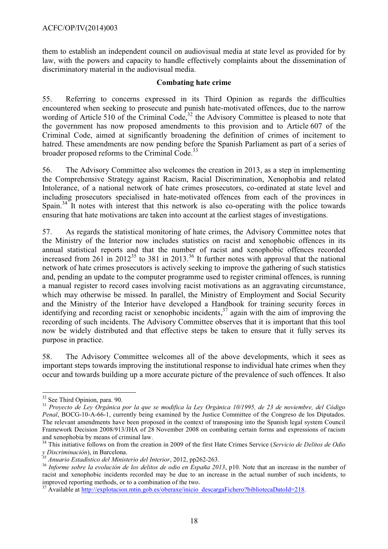them to establish an independent council on audiovisual media at state level as provided for by law, with the powers and capacity to handle effectively complaints about the dissemination of discriminatory material in the audiovisual media.

## **Combating hate crime**

55. Referring to concerns expressed in its Third Opinion as regards the difficulties encountered when seeking to prosecute and punish hate-motivated offences, due to the narrow wording of Article 510 of the Criminal Code, $32$  the Advisory Committee is pleased to note that the government has now proposed amendments to this provision and to Article 607 of the Criminal Code, aimed at significantly broadening the definition of crimes of incitement to hatred. These amendments are now pending before the Spanish Parliament as part of a series of broader proposed reforms to the Criminal Code.<sup>33</sup>

56. The Advisory Committee also welcomes the creation in 2013, as a step in implementing the Comprehensive Strategy against Racism, Racial Discrimination, Xenophobia and related Intolerance, of a national network of hate crimes prosecutors, co-ordinated at state level and including prosecutors specialised in hate-motivated offences from each of the provinces in Spain.<sup>34</sup> It notes with interest that this network is also co-operating with the police towards ensuring that hate motivations are taken into account at the earliest stages of investigations.

57. As regards the statistical monitoring of hate crimes, the Advisory Committee notes that the Ministry of the Interior now includes statistics on racist and xenophobic offences in its annual statistical reports and that the number of racist and xenophobic offences recorded increased from 261 in 2012<sup>35</sup> to 381 in 2013.<sup>36</sup> It further notes with approval that the national network of hate crimes prosecutors is actively seeking to improve the gathering of such statistics and, pending an update to the computer programme used to register criminal offences, is running a manual register to record cases involving racist motivations as an aggravating circumstance, which may otherwise be missed. In parallel, the Ministry of Employment and Social Security and the Ministry of the Interior have developed a Handbook for training security forces in identifying and recording racist or xenophobic incidents,<sup>37</sup> again with the aim of improving the recording of such incidents. The Advisory Committee observes that it is important that this tool now be widely distributed and that effective steps be taken to ensure that it fully serves its purpose in practice.

58. The Advisory Committee welcomes all of the above developments, which it sees as important steps towards improving the institutional response to individual hate crimes when they occur and towards building up a more accurate picture of the prevalence of such offences. It also

 $\overline{a}$ <sup>32</sup> See Third Opinion, para. 90.

<sup>33</sup> *Proyecto de Ley Orgánica por la que se modifica la Ley Orgánica 10/1995, de 23 de noviembre, del Código Penal*, BOCG-10-A-66-1, currently being examined by the Justice Committee of the Congreso de los Diputados. The relevant amendments have been proposed in the context of transposing into the Spanish legal system Council Framework Decision 2008/913/JHA of 28 November 2008 on combating certain forms and expressions of racism and xenophobia by means of criminal law.

<sup>34</sup> This initiative follows on from the creation in 2009 of the first Hate Crimes Service (*Servicio de Delitos de Odio y Discriminación*), in Barcelona.

<sup>35</sup> *Anuario Estadístico del Ministerio del Interior*, 2012, pp262-263.

<sup>36</sup> *Informe sobre la evolución de los delitos de odio en España 2013*, p10. Note that an increase in the number of racist and xenophobic incidents recorded may be due to an increase in the actual number of such incidents, to improved reporting methods, or to a combination of the two.

<sup>&</sup>lt;sup>37</sup> Available at [http://explotacion.mtin.gob.es/oberaxe/inicio\\_descargaFichero?bibliotecaDatoId=218.](http://explotacion.mtin.gob.es/oberaxe/inicio_descargaFichero?bibliotecaDatoId=218)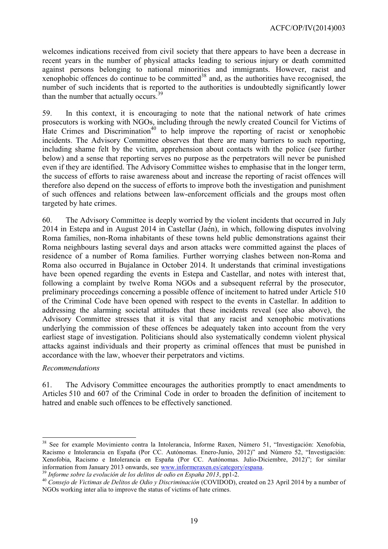welcomes indications received from civil society that there appears to have been a decrease in recent years in the number of physical attacks leading to serious injury or death committed against persons belonging to national minorities and immigrants. However, racist and xenophobic offences do continue to be committed<sup>38</sup> and, as the authorities have recognised, the number of such incidents that is reported to the authorities is undoubtedly significantly lower than the number that actually occurs.<sup>39</sup>

59. In this context, it is encouraging to note that the national network of hate crimes prosecutors is working with NGOs, including through the newly created Council for Victims of Hate Crimes and Discrimination<sup>40</sup> to help improve the reporting of racist or xenophobic incidents. The Advisory Committee observes that there are many barriers to such reporting, including shame felt by the victim, apprehension about contacts with the police (see further below) and a sense that reporting serves no purpose as the perpetrators will never be punished even if they are identified. The Advisory Committee wishes to emphasise that in the longer term, the success of efforts to raise awareness about and increase the reporting of racist offences will therefore also depend on the success of efforts to improve both the investigation and punishment of such offences and relations between law-enforcement officials and the groups most often targeted by hate crimes.

60. The Advisory Committee is deeply worried by the violent incidents that occurred in July 2014 in Estepa and in August 2014 in Castellar (Jaén), in which, following disputes involving Roma families, non-Roma inhabitants of these towns held public demonstrations against their Roma neighbours lasting several days and arson attacks were committed against the places of residence of a number of Roma families. Further worrying clashes between non-Roma and Roma also occurred in Bujalance in October 2014. It understands that criminal investigations have been opened regarding the events in Estepa and Castellar, and notes with interest that, following a complaint by twelve Roma NGOs and a subsequent referral by the prosecutor, preliminary proceedings concerning a possible offence of incitement to hatred under Article 510 of the Criminal Code have been opened with respect to the events in Castellar. In addition to addressing the alarming societal attitudes that these incidents reveal (see also above), the Advisory Committee stresses that it is vital that any racist and xenophobic motivations underlying the commission of these offences be adequately taken into account from the very earliest stage of investigation. Politicians should also systematically condemn violent physical attacks against individuals and their property as criminal offences that must be punished in accordance with the law, whoever their perpetrators and victims.

#### *Recommendations*

61. The Advisory Committee encourages the authorities promptly to enact amendments to Articles 510 and 607 of the Criminal Code in order to broaden the definition of incitement to hatred and enable such offences to be effectively sanctioned.

<sup>&</sup>lt;sup>38</sup> See for example Movimiento contra la Intolerancia, Informe Raxen, Número 51, "Investigación: Xenofobia, Racismo e Intolerancia en España (Por CC. Autónomas. Enero-Junio, 2012)" and Número 52, "Investigación: Xenofobia, Racismo e Intolerancia en España (Por CC. Autónomas. Julio-Diciembre, 2012)"; for similar information from January 2013 onwards, see [www.informeraxen.es/category/espana.](http://www.informeraxen.es/category/espana)

<sup>39</sup> *Informe sobre la evolución de los delitos de odio en España 2013*, pp1-2.

<sup>40</sup> *Consejo de Victimas de Delitos de Odio y Discriminación* (COVIDOD), created on 23 April 2014 by a number of NGOs working inter alia to improve the status of victims of hate crimes.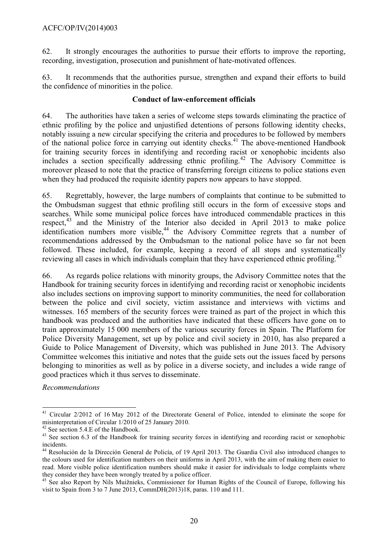62. It strongly encourages the authorities to pursue their efforts to improve the reporting, recording, investigation, prosecution and punishment of hate-motivated offences.

63. It recommends that the authorities pursue, strengthen and expand their efforts to build the confidence of minorities in the police.

## **Conduct of law-enforcement officials**

64. The authorities have taken a series of welcome steps towards eliminating the practice of ethnic profiling by the police and unjustified detentions of persons following identity checks, notably issuing a new circular specifying the criteria and procedures to be followed by members of the national police force in carrying out identity checks.<sup>41</sup> The above-mentioned Handbook for training security forces in identifying and recording racist or xenophobic incidents also includes a section specifically addressing ethnic profiling.<sup>42</sup> The Advisory Committee is moreover pleased to note that the practice of transferring foreign citizens to police stations even when they had produced the requisite identity papers now appears to have stopped.

65. Regrettably, however, the large numbers of complaints that continue to be submitted to the Ombudsman suggest that ethnic profiling still occurs in the form of excessive stops and searches. While some municipal police forces have introduced commendable practices in this respect, $43$  and the Ministry of the Interior also decided in April 2013 to make police identification numbers more visible,<sup>44</sup> the Advisory Committee regrets that a number of recommendations addressed by the Ombudsman to the national police have so far not been followed. These included, for example, keeping a record of all stops and systematically reviewing all cases in which individuals complain that they have experienced ethnic profiling.<sup>45</sup>

66. As regards police relations with minority groups, the Advisory Committee notes that the Handbook for training security forces in identifying and recording racist or xenophobic incidents also includes sections on improving support to minority communities, the need for collaboration between the police and civil society, victim assistance and interviews with victims and witnesses. 165 members of the security forces were trained as part of the project in which this handbook was produced and the authorities have indicated that these officers have gone on to train approximately 15 000 members of the various security forces in Spain. The Platform for Police Diversity Management, set up by police and civil society in 2010, has also prepared a Guide to Police Management of Diversity, which was published in June 2013. The Advisory Committee welcomes this initiative and notes that the guide sets out the issues faced by persons belonging to minorities as well as by police in a diverse society, and includes a wide range of good practices which it thus serves to disseminate.

*Recommendations*

l

<sup>&</sup>lt;sup>41</sup> Circular 2/2012 of 16 May 2012 of the Directorate General of Police, intended to eliminate the scope for misinterpretation of Circular 1/2010 of 25 January 2010.

<sup>&</sup>lt;sup>42</sup> See section 5.4.E of the Handbook.

<sup>&</sup>lt;sup>43</sup> See section 6.3 of the Handbook for training security forces in identifying and recording racist or xenophobic incidents.

<sup>44</sup> Resolución de la Dirección General de Policía, of 19 April 2013. The Guardia Civil also introduced changes to the colours used for identification numbers on their uniforms in April 2013, with the aim of making them easier to read. More visible police identification numbers should make it easier for individuals to lodge complaints where they consider they have been wrongly treated by a police officer.

<sup>&</sup>lt;sup>45</sup> See also Report by Nils Muižnieks, Commissioner for Human Rights of the Council of Europe, following his visit to Spain from 3 to 7 June 2013, CommDH(2013)18, paras. 110 and 111.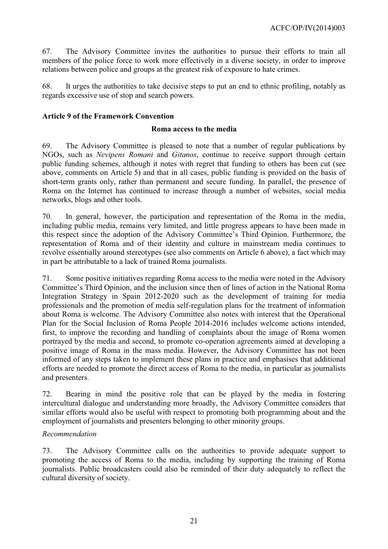67. The Advisory Committee invites the authorities to pursue their efforts to train all members of the police force to work more effectively in a diverse society, in order to improve relations between police and groups at the greatest risk of exposure to hate crimes.

68. It urges the authorities to take decisive steps to put an end to ethnic profiling, notably as regards excessive use of stop and search powers.

# <span id="page-20-0"></span>**Article 9 of the Framework Convention**

#### **Roma access to the media**

69. The Advisory Committee is pleased to note that a number of regular publications by NGOs, such as *Nevipens Romani* and *Gitanos*, continue to receive support through certain public funding schemes, although it notes with regret that funding to others has been cut (see above, comments on Article 5) and that in all cases, public funding is provided on the basis of short-term grants only, rather than permanent and secure funding. In parallel, the presence of Roma on the Internet has continued to increase through a number of websites, social media networks, blogs and other tools.

70. In general, however, the participation and representation of the Roma in the media, including public media, remains very limited, and little progress appears to have been made in this respect since the adoption of the Advisory Committee's Third Opinion. Furthermore, the representation of Roma and of their identity and culture in mainstream media continues to revolve essentially around stereotypes (see also comments on Article 6 above), a fact which may in part be attributable to a lack of trained Roma journalists.

71. Some positive initiatives regarding Roma access to the media were noted in the Advisory Committee's Third Opinion, and the inclusion since then of lines of action in the National Roma Integration Strategy in Spain 2012-2020 such as the development of training for media professionals and the promotion of media self-regulation plans for the treatment of information about Roma is welcome. The Advisory Committee also notes with interest that the Operational Plan for the Social Inclusion of Roma People 2014-2016 includes welcome actions intended, first, to improve the recording and handling of complaints about the image of Roma women portrayed by the media and second, to promote co-operation agreements aimed at developing a positive image of Roma in the mass media. However, the Advisory Committee has not been informed of any steps taken to implement these plans in practice and emphasises that additional efforts are needed to promote the direct access of Roma to the media, in particular as journalists and presenters.

72. Bearing in mind the positive role that can be played by the media in fostering intercultural dialogue and understanding more broadly, the Advisory Committee considers that similar efforts would also be useful with respect to promoting both programming about and the employment of journalists and presenters belonging to other minority groups.

# *Recommendation*

73. The Advisory Committee calls on the authorities to provide adequate support to promoting the access of Roma to the media, including by supporting the training of Roma journalists. Public broadcasters could also be reminded of their duty adequately to reflect the cultural diversity of society.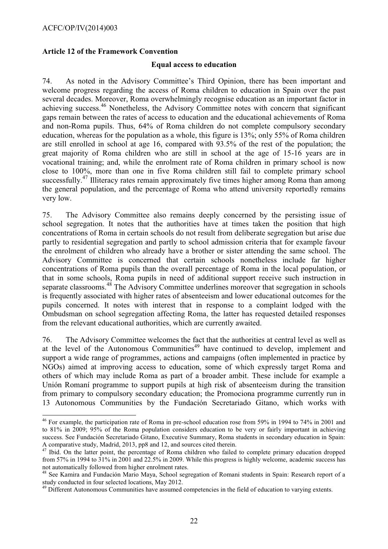$\overline{a}$ 

# <span id="page-21-0"></span>**Article 12 of the Framework Convention**

#### **Equal access to education**

74. As noted in the Advisory Committee's Third Opinion, there has been important and welcome progress regarding the access of Roma children to education in Spain over the past several decades. Moreover, Roma overwhelmingly recognise education as an important factor in achieving success.<sup>46</sup> Nonetheless, the Advisory Committee notes with concern that significant gaps remain between the rates of access to education and the educational achievements of Roma and non-Roma pupils. Thus, 64% of Roma children do not complete compulsory secondary education, whereas for the population as a whole, this figure is 13%; only 55% of Roma children are still enrolled in school at age 16, compared with 93.5% of the rest of the population; the great majority of Roma children who are still in school at the age of 15-16 years are in vocational training; and, while the enrolment rate of Roma children in primary school is now close to 100%, more than one in five Roma children still fail to complete primary school successfully.<sup>47</sup> Illiteracy rates remain approximately five times higher among Roma than among the general population, and the percentage of Roma who attend university reportedly remains very low.

75. The Advisory Committee also remains deeply concerned by the persisting issue of school segregation. It notes that the authorities have at times taken the position that high concentrations of Roma in certain schools do not result from deliberate segregation but arise due partly to residential segregation and partly to school admission criteria that for example favour the enrolment of children who already have a brother or sister attending the same school. The Advisory Committee is concerned that certain schools nonetheless include far higher concentrations of Roma pupils than the overall percentage of Roma in the local population, or that in some schools, Roma pupils in need of additional support receive such instruction in separate classrooms.<sup>48</sup> The Advisory Committee underlines moreover that segregation in schools is frequently associated with higher rates of absenteeism and lower educational outcomes for the pupils concerned. It notes with interest that in response to a complaint lodged with the Ombudsman on school segregation affecting Roma, the latter has requested detailed responses from the relevant educational authorities, which are currently awaited.

76. The Advisory Committee welcomes the fact that the authorities at central level as well as at the level of the Autonomous Communities<sup>49</sup> have continued to develop, implement and support a wide range of programmes, actions and campaigns (often implemented in practice by NGOs) aimed at improving access to education, some of which expressly target Roma and others of which may include Roma as part of a broader ambit. These include for example a Unión Romaní programme to support pupils at high risk of absenteeism during the transition from primary to compulsory secondary education; the Promociona programme currently run in 13 Autonomous Communities by the Fundación Secretariado Gitano, which works with

<sup>&</sup>lt;sup>46</sup> For example, the participation rate of Roma in pre-school education rose from 59% in 1994 to 74% in 2001 and to 81% in 2009; 95% of the Roma population considers education to be very or fairly important in achieving success. See Fundación Secretariado Gitano, Executive Summary, Roma students in secondary education in Spain: A comparative study, Madrid, 2013, pp8 and 12, and sources cited therein.

<sup>47</sup> Ibid. On the latter point, the percentage of Roma children who failed to complete primary education dropped from 57% in 1994 to 31% in 2001 and 22.5% in 2009. While this progress is highly welcome, academic success has not automatically followed from higher enrolment rates.

<sup>&</sup>lt;sup>48</sup> See Kamira and Fundación Mario Maya, School segregation of Romani students in Spain: Research report of a study conducted in four selected locations, May 2012.

<sup>&</sup>lt;sup>49</sup> Different Autonomous Communities have assumed competencies in the field of education to varying extents.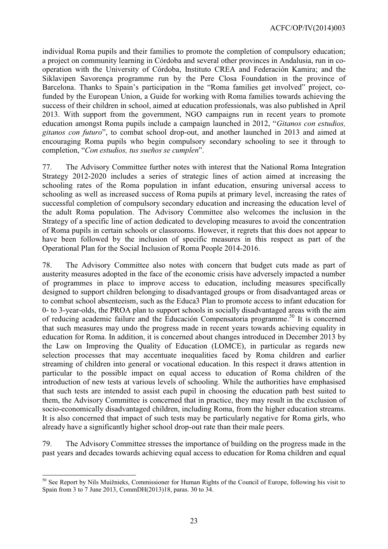individual Roma pupils and their families to promote the completion of compulsory education; a project on community learning in Córdoba and several other provinces in Andalusia, run in cooperation with the University of Córdoba, Instituto CREA and Federación Kamira; and the Siklavipen Savorença programme run by the Pere Closa Foundation in the province of Barcelona. Thanks to Spain's participation in the "Roma families get involved" project, cofunded by the European Union, a Guide for working with Roma families towards achieving the success of their children in school, aimed at education professionals, was also published in April 2013. With support from the government, NGO campaigns run in recent years to promote education amongst Roma pupils include a campaign launched in 2012, "*Gitanos con estudios, gitanos con futuro*", to combat school drop-out, and another launched in 2013 and aimed at encouraging Roma pupils who begin compulsory secondary schooling to see it through to completion, "*Con estudios, tus sueños se cumplen*".

77. The Advisory Committee further notes with interest that the National Roma Integration Strategy 2012-2020 includes a series of strategic lines of action aimed at increasing the schooling rates of the Roma population in infant education, ensuring universal access to schooling as well as increased success of Roma pupils at primary level, increasing the rates of successful completion of compulsory secondary education and increasing the education level of the adult Roma population. The Advisory Committee also welcomes the inclusion in the Strategy of a specific line of action dedicated to developing measures to avoid the concentration of Roma pupils in certain schools or classrooms. However, it regrets that this does not appear to have been followed by the inclusion of specific measures in this respect as part of the Operational Plan for the Social Inclusion of Roma People 2014-2016.

78. The Advisory Committee also notes with concern that budget cuts made as part of austerity measures adopted in the face of the economic crisis have adversely impacted a number of programmes in place to improve access to education, including measures specifically designed to support children belonging to disadvantaged groups or from disadvantaged areas or to combat school absenteeism, such as the Educa3 Plan to promote access to infant education for 0- to 3-year-olds, the PROA plan to support schools in socially disadvantaged areas with the aim of reducing academic failure and the Educación Compensatoria programme. <sup>50</sup> It is concerned that such measures may undo the progress made in recent years towards achieving equality in education for Roma. In addition, it is concerned about changes introduced in December 2013 by the Law on Improving the Quality of Education (LOMCE), in particular as regards new selection processes that may accentuate inequalities faced by Roma children and earlier streaming of children into general or vocational education. In this respect it draws attention in particular to the possible impact on equal access to education of Roma children of the introduction of new tests at various levels of schooling. While the authorities have emphasised that such tests are intended to assist each pupil in choosing the education path best suited to them, the Advisory Committee is concerned that in practice, they may result in the exclusion of socio-economically disadvantaged children, including Roma, from the higher education streams. It is also concerned that impact of such tests may be particularly negative for Roma girls, who already have a significantly higher school drop-out rate than their male peers.

79. The Advisory Committee stresses the importance of building on the progress made in the past years and decades towards achieving equal access to education for Roma children and equal

 $\overline{a}$ <sup>50</sup> See Report by Nils Muižnieks, Commissioner for Human Rights of the Council of Europe, following his visit to Spain from 3 to 7 June 2013, CommDH(2013)18, paras. 30 to 34.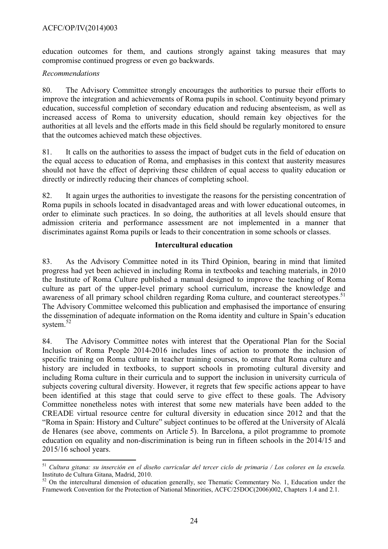education outcomes for them, and cautions strongly against taking measures that may compromise continued progress or even go backwards.

## *Recommendations*

80. The Advisory Committee strongly encourages the authorities to pursue their efforts to improve the integration and achievements of Roma pupils in school. Continuity beyond primary education, successful completion of secondary education and reducing absenteeism, as well as increased access of Roma to university education, should remain key objectives for the authorities at all levels and the efforts made in this field should be regularly monitored to ensure that the outcomes achieved match these objectives.

81. It calls on the authorities to assess the impact of budget cuts in the field of education on the equal access to education of Roma, and emphasises in this context that austerity measures should not have the effect of depriving these children of equal access to quality education or directly or indirectly reducing their chances of completing school.

82. It again urges the authorities to investigate the reasons for the persisting concentration of Roma pupils in schools located in disadvantaged areas and with lower educational outcomes, in order to eliminate such practices. In so doing, the authorities at all levels should ensure that admission criteria and performance assessment are not implemented in a manner that discriminates against Roma pupils or leads to their concentration in some schools or classes.

## **Intercultural education**

83. As the Advisory Committee noted in its Third Opinion, bearing in mind that limited progress had yet been achieved in including Roma in textbooks and teaching materials, in 2010 the Institute of Roma Culture published a manual designed to improve the teaching of Roma culture as part of the upper-level primary school curriculum, increase the knowledge and awareness of all primary school children regarding Roma culture, and counteract stereotypes.<sup>51</sup> The Advisory Committee welcomed this publication and emphasised the importance of ensuring the dissemination of adequate information on the Roma identity and culture in Spain's education system.<sup>52</sup>

84. The Advisory Committee notes with interest that the Operational Plan for the Social Inclusion of Roma People 2014-2016 includes lines of action to promote the inclusion of specific training on Roma culture in teacher training courses, to ensure that Roma culture and history are included in textbooks, to support schools in promoting cultural diversity and including Roma culture in their curricula and to support the inclusion in university curricula of subjects covering cultural diversity. However, it regrets that few specific actions appear to have been identified at this stage that could serve to give effect to these goals. The Advisory Committee nonetheless notes with interest that some new materials have been added to the CREADE virtual resource centre for cultural diversity in education since 2012 and that the "Roma in Spain: History and Culture" subject continues to be offered at the University of Alcalá de Henares (see above, comments on Article 5). In Barcelona, a pilot programme to promote education on equality and non-discrimination is being run in fifteen schools in the 2014/15 and 2015/16 school years.

 <sup>51</sup> *Cultura gitana: su inserción en el diseño curricular del tercer ciclo de primaria / Los colores en la escuela.*  Instituto de Cultura Gitana, Madrid, 2010.

 $52$  On the intercultural dimension of education generally, see Thematic Commentary No. 1, Education under the Framework Convention for the Protection of National Minorities, ACFC/25DOC(2006)002, Chapters 1.4 and 2.1.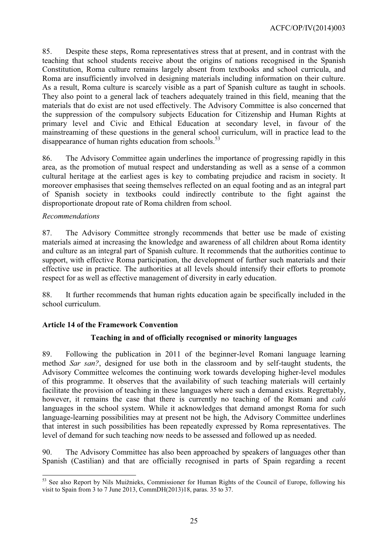85. Despite these steps, Roma representatives stress that at present, and in contrast with the teaching that school students receive about the origins of nations recognised in the Spanish Constitution, Roma culture remains largely absent from textbooks and school curricula, and Roma are insufficiently involved in designing materials including information on their culture. As a result, Roma culture is scarcely visible as a part of Spanish culture as taught in schools. They also point to a general lack of teachers adequately trained in this field, meaning that the materials that do exist are not used effectively. The Advisory Committee is also concerned that the suppression of the compulsory subjects Education for Citizenship and Human Rights at primary level and Civic and Ethical Education at secondary level, in favour of the mainstreaming of these questions in the general school curriculum, will in practice lead to the disappearance of human rights education from schools. $53$ 

86. The Advisory Committee again underlines the importance of progressing rapidly in this area, as the promotion of mutual respect and understanding as well as a sense of a common cultural heritage at the earliest ages is key to combating prejudice and racism in society. It moreover emphasises that seeing themselves reflected on an equal footing and as an integral part of Spanish society in textbooks could indirectly contribute to the fight against the disproportionate dropout rate of Roma children from school.

## *Recommendations*

87. The Advisory Committee strongly recommends that better use be made of existing materials aimed at increasing the knowledge and awareness of all children about Roma identity and culture as an integral part of Spanish culture. It recommends that the authorities continue to support, with effective Roma participation, the development of further such materials and their effective use in practice. The authorities at all levels should intensify their efforts to promote respect for as well as effective management of diversity in early education.

88. It further recommends that human rights education again be specifically included in the school curriculum.

# <span id="page-24-0"></span>**Article 14 of the Framework Convention**

# **Teaching in and of officially recognised or minority languages**

89. Following the publication in 2011 of the beginner-level Romani language learning method *Sar san?*, designed for use both in the classroom and by self-taught students, the Advisory Committee welcomes the continuing work towards developing higher-level modules of this programme. It observes that the availability of such teaching materials will certainly facilitate the provision of teaching in these languages where such a demand exists. Regrettably, however, it remains the case that there is currently no teaching of the Romani and *caló* languages in the school system. While it acknowledges that demand amongst Roma for such language-learning possibilities may at present not be high, the Advisory Committee underlines that interest in such possibilities has been repeatedly expressed by Roma representatives. The level of demand for such teaching now needs to be assessed and followed up as needed.

90. The Advisory Committee has also been approached by speakers of languages other than Spanish (Castilian) and that are officially recognised in parts of Spain regarding a recent

 $\overline{a}$ <sup>53</sup> See also Report by Nils Muižnieks, Commissioner for Human Rights of the Council of Europe, following his visit to Spain from 3 to 7 June 2013, CommDH(2013)18, paras. 35 to 37.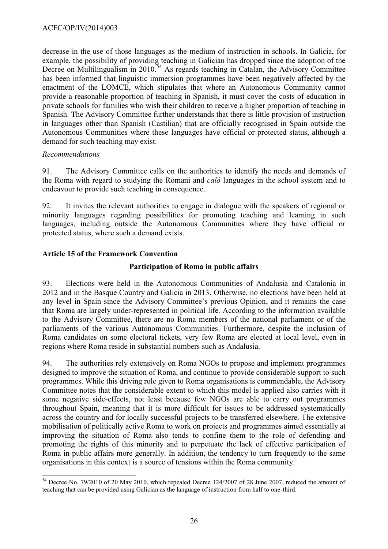decrease in the use of those languages as the medium of instruction in schools. In Galicia, for example, the possibility of providing teaching in Galician has dropped since the adoption of the Decree on Multilingualism in 2010.<sup>54</sup> As regards teaching in Catalan, the Advisory Committee has been informed that linguistic immersion programmes have been negatively affected by the enactment of the LOMCE, which stipulates that where an Autonomous Community cannot provide a reasonable proportion of teaching in Spanish, it must cover the costs of education in private schools for families who wish their children to receive a higher proportion of teaching in Spanish. The Advisory Committee further understands that there is little provision of instruction in languages other than Spanish (Castilian) that are officially recognised in Spain outside the Autonomous Communities where these languages have official or protected status, although a demand for such teaching may exist.

## *Recommendations*

91. The Advisory Committee calls on the authorities to identify the needs and demands of the Roma with regard to studying the Romani and *caló* languages in the school system and to endeavour to provide such teaching in consequence.

92. It invites the relevant authorities to engage in dialogue with the speakers of regional or minority languages regarding possibilities for promoting teaching and learning in such languages, including outside the Autonomous Communities where they have official or protected status, where such a demand exists.

# <span id="page-25-0"></span>**Article 15 of the Framework Convention**

# **Participation of Roma in public affairs**

93. Elections were held in the Autonomous Communities of Andalusia and Catalonia in 2012 and in the Basque Country and Galicia in 2013. Otherwise, no elections have been held at any level in Spain since the Advisory Committee's previous Opinion, and it remains the case that Roma are largely under-represented in political life. According to the information available to the Advisory Committee, there are no Roma members of the national parliament or of the parliaments of the various Autonomous Communities. Furthermore, despite the inclusion of Roma candidates on some electoral tickets, very few Roma are elected at local level, even in regions where Roma reside in substantial numbers such as Andalusia.

94. The authorities rely extensively on Roma NGOs to propose and implement programmes designed to improve the situation of Roma, and continue to provide considerable support to such programmes. While this driving role given to Roma organisations is commendable, the Advisory Committee notes that the considerable extent to which this model is applied also carries with it some negative side-effects, not least because few NGOs are able to carry out programmes throughout Spain, meaning that it is more difficult for issues to be addressed systematically across the country and for locally successful projects to be transferred elsewhere. The extensive mobilisation of politically active Roma to work on projects and programmes aimed essentially at improving the situation of Roma also tends to confine them to the role of defending and promoting the rights of this minority and to perpetuate the lack of effective participation of Roma in public affairs more generally. In addition, the tendency to turn frequently to the same organisations in this context is a source of tensions within the Roma community.

 $\overline{a}$  $54$  Decree No. 79/2010 of 20 May 2010, which repealed Decree 124/2007 of 28 June 2007, reduced the amount of teaching that can be provided using Galician as the language of instruction from half to one-third.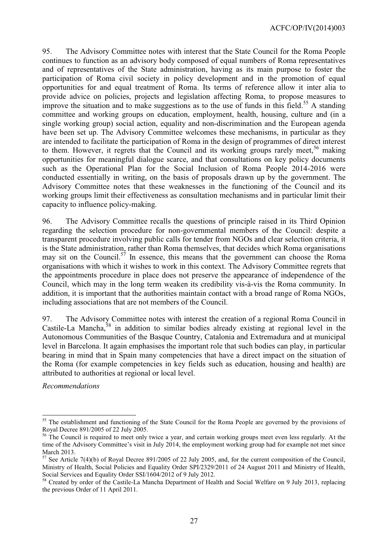95. The Advisory Committee notes with interest that the State Council for the Roma People continues to function as an advisory body composed of equal numbers of Roma representatives and of representatives of the State administration, having as its main purpose to foster the participation of Roma civil society in policy development and in the promotion of equal opportunities for and equal treatment of Roma. Its terms of reference allow it inter alia to provide advice on policies, projects and legislation affecting Roma, to propose measures to improve the situation and to make suggestions as to the use of funds in this field.<sup>55</sup> A standing committee and working groups on education, employment, health, housing, culture and (in a single working group) social action, equality and non-discrimination and the European agenda have been set up. The Advisory Committee welcomes these mechanisms, in particular as they are intended to facilitate the participation of Roma in the design of programmes of direct interest to them. However, it regrets that the Council and its working groups rarely meet,  $56$  making opportunities for meaningful dialogue scarce, and that consultations on key policy documents such as the Operational Plan for the Social Inclusion of Roma People 2014-2016 were conducted essentially in writing, on the basis of proposals drawn up by the government. The Advisory Committee notes that these weaknesses in the functioning of the Council and its working groups limit their effectiveness as consultation mechanisms and in particular limit their capacity to influence policy-making.

96. The Advisory Committee recalls the questions of principle raised in its Third Opinion regarding the selection procedure for non-governmental members of the Council: despite a transparent procedure involving public calls for tender from NGOs and clear selection criteria, it is the State administration, rather than Roma themselves, that decides which Roma organisations may sit on the Council.<sup>57</sup> In essence, this means that the government can choose the Roma organisations with which it wishes to work in this context. The Advisory Committee regrets that the appointments procedure in place does not preserve the appearance of independence of the Council, which may in the long term weaken its credibility vis-à-vis the Roma community. In addition, it is important that the authorities maintain contact with a broad range of Roma NGOs, including associations that are not members of the Council.

97. The Advisory Committee notes with interest the creation of a regional Roma Council in Castile-La Mancha,<sup>58</sup> in addition to similar bodies already existing at regional level in the Autonomous Communities of the Basque Country, Catalonia and Extremadura and at municipal level in Barcelona. It again emphasises the important role that such bodies can play, in particular bearing in mind that in Spain many competencies that have a direct impact on the situation of the Roma (for example competencies in key fields such as education, housing and health) are attributed to authorities at regional or local level.

*Recommendations*

 $\overline{a}$ 

<sup>&</sup>lt;sup>55</sup> The establishment and functioning of the State Council for the Roma People are governed by the provisions of Royal Decree 891/2005 of 22 July 2005.

<sup>&</sup>lt;sup>56</sup> The Council is required to meet only twice a year, and certain working groups meet even less regularly. At the time of the Advisory Committee's visit in July 2014, the employment working group had for example not met since March 2013.

 $57$  See Article 7(4)(b) of Royal Decree 891/2005 of 22 July 2005, and, for the current composition of the Council, Ministry of Health, Social Policies and Equality Order SPI/2329/2011 of 24 August 2011 and Ministry of Health, Social Services and Equality Order SSI/1604/2012 of 9 July 2012.

<sup>&</sup>lt;sup>58</sup> Created by order of the Castile-La Mancha Department of Health and Social Welfare on 9 July 2013, replacing the previous Order of 11 April 2011.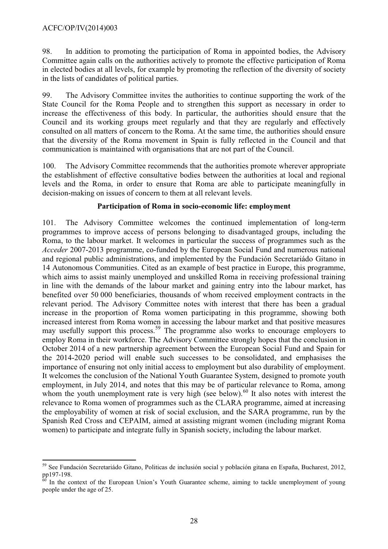98. In addition to promoting the participation of Roma in appointed bodies, the Advisory Committee again calls on the authorities actively to promote the effective participation of Roma in elected bodies at all levels, for example by promoting the reflection of the diversity of society in the lists of candidates of political parties.

99. The Advisory Committee invites the authorities to continue supporting the work of the State Council for the Roma People and to strengthen this support as necessary in order to increase the effectiveness of this body. In particular, the authorities should ensure that the Council and its working groups meet regularly and that they are regularly and effectively consulted on all matters of concern to the Roma. At the same time, the authorities should ensure that the diversity of the Roma movement in Spain is fully reflected in the Council and that communication is maintained with organisations that are not part of the Council.

100. The Advisory Committee recommends that the authorities promote wherever appropriate the establishment of effective consultative bodies between the authorities at local and regional levels and the Roma, in order to ensure that Roma are able to participate meaningfully in decision-making on issues of concern to them at all relevant levels.

## **Participation of Roma in socio-economic life: employment**

101. The Advisory Committee welcomes the continued implementation of long-term programmes to improve access of persons belonging to disadvantaged groups, including the Roma, to the labour market. It welcomes in particular the success of programmes such as the *Acceder* 2007-2013 programme, co-funded by the European Social Fund and numerous national and regional public administrations, and implemented by the Fundación Secretariádo Gitano in 14 Autonomous Communities. Cited as an example of best practice in Europe, this programme, which aims to assist mainly unemployed and unskilled Roma in receiving professional training in line with the demands of the labour market and gaining entry into the labour market, has benefited over 50 000 beneficiaries, thousands of whom received employment contracts in the relevant period. The Advisory Committee notes with interest that there has been a gradual increase in the proportion of Roma women participating in this programme, showing both increased interest from Roma women in accessing the labour market and that positive measures may usefully support this process.<sup>59</sup> The programme also works to encourage employers to employ Roma in their workforce. The Advisory Committee strongly hopes that the conclusion in October 2014 of a new partnership agreement between the European Social Fund and Spain for the 2014-2020 period will enable such successes to be consolidated, and emphasises the importance of ensuring not only initial access to employment but also durability of employment. It welcomes the conclusion of the National Youth Guarantee System, designed to promote youth employment, in July 2014, and notes that this may be of particular relevance to Roma, among whom the youth unemployment rate is very high (see below).<sup>60</sup> It also notes with interest the relevance to Roma women of programmes such as the CLARA programme, aimed at increasing the employability of women at risk of social exclusion, and the SARA programme, run by the Spanish Red Cross and CEPAIM, aimed at assisting migrant women (including migrant Roma women) to participate and integrate fully in Spanish society, including the labour market.

 <sup>59</sup> See Fundación Secretariádo Gitano, Politicas de inclusión social y población gitana en España, Bucharest, 2012, pp197-198.

 $66$  In the context of the European Union's Youth Guarantee scheme, aiming to tackle unemployment of young people under the age of 25.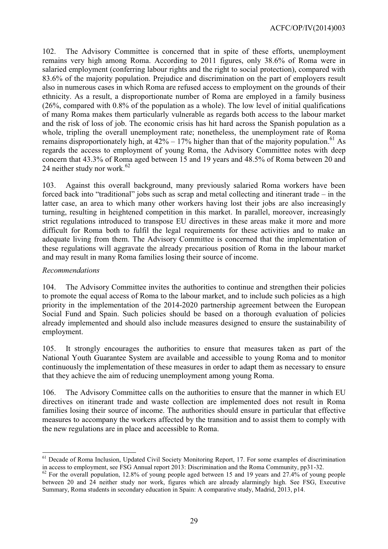102. The Advisory Committee is concerned that in spite of these efforts, unemployment remains very high among Roma. According to 2011 figures, only 38.6% of Roma were in salaried employment (conferring labour rights and the right to social protection), compared with 83.6% of the majority population. Prejudice and discrimination on the part of employers result also in numerous cases in which Roma are refused access to employment on the grounds of their ethnicity. As a result, a disproportionate number of Roma are employed in a family business (26%, compared with 0.8% of the population as a whole). The low level of initial qualifications of many Roma makes them particularly vulnerable as regards both access to the labour market and the risk of loss of job. The economic crisis has hit hard across the Spanish population as a whole, tripling the overall unemployment rate; nonetheless, the unemployment rate of Roma remains disproportionately high, at  $42\% - 17\%$  higher than that of the majority population.<sup>61</sup> As regards the access to employment of young Roma, the Advisory Committee notes with deep concern that 43.3% of Roma aged between 15 and 19 years and 48.5% of Roma between 20 and 24 neither study nor work. $62$ 

103. Against this overall background, many previously salaried Roma workers have been forced back into "traditional" jobs such as scrap and metal collecting and itinerant trade – in the latter case, an area to which many other workers having lost their jobs are also increasingly turning, resulting in heightened competition in this market. In parallel, moreover, increasingly strict regulations introduced to transpose EU directives in these areas make it more and more difficult for Roma both to fulfil the legal requirements for these activities and to make an adequate living from them. The Advisory Committee is concerned that the implementation of these regulations will aggravate the already precarious position of Roma in the labour market and may result in many Roma families losing their source of income.

#### *Recommendations*

104. The Advisory Committee invites the authorities to continue and strengthen their policies to promote the equal access of Roma to the labour market, and to include such policies as a high priority in the implementation of the 2014-2020 partnership agreement between the European Social Fund and Spain. Such policies should be based on a thorough evaluation of policies already implemented and should also include measures designed to ensure the sustainability of employment.

105. It strongly encourages the authorities to ensure that measures taken as part of the National Youth Guarantee System are available and accessible to young Roma and to monitor continuously the implementation of these measures in order to adapt them as necessary to ensure that they achieve the aim of reducing unemployment among young Roma.

106. The Advisory Committee calls on the authorities to ensure that the manner in which EU directives on itinerant trade and waste collection are implemented does not result in Roma families losing their source of income. The authorities should ensure in particular that effective measures to accompany the workers affected by the transition and to assist them to comply with the new regulations are in place and accessible to Roma.

 $\overline{a}$ <sup>61</sup> Decade of Roma Inclusion, Updated Civil Society Monitoring Report, 17. For some examples of discrimination in access to employment, see FSG Annual report 2013: Discrimination and the Roma Community, pp31-32.

 $62$  For the overall population, 12.8% of young people aged between 15 and 19 years and 27.4% of young people between 20 and 24 neither study nor work, figures which are already alarmingly high. See FSG, Executive Summary, Roma students in secondary education in Spain: A comparative study, Madrid, 2013, p14.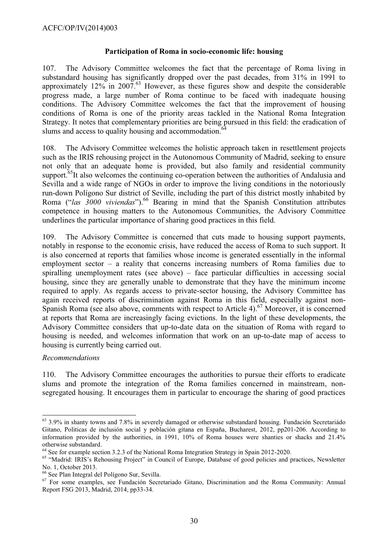## **Participation of Roma in socio-economic life: housing**

107. The Advisory Committee welcomes the fact that the percentage of Roma living in substandard housing has significantly dropped over the past decades, from 31% in 1991 to approximately  $12\%$  in  $2007.^{63}$  However, as these figures show and despite the considerable progress made, a large number of Roma continue to be faced with inadequate housing conditions. The Advisory Committee welcomes the fact that the improvement of housing conditions of Roma is one of the priority areas tackled in the National Roma Integration Strategy. It notes that complementary priorities are being pursued in this field: the eradication of slums and access to quality housing and accommodation.<sup>6</sup>

108. The Advisory Committee welcomes the holistic approach taken in resettlement projects such as the IRIS rehousing project in the Autonomous Community of Madrid, seeking to ensure not only that an adequate home is provided, but also family and residential community support.<sup>65</sup>It also welcomes the continuing co-operation between the authorities of Andalusia and Sevilla and a wide range of NGOs in order to improve the living conditions in the notoriously run-down Polígono Sur district of Seville, including the part of this district mostly inhabited by Roma ("*las 3000 viviendas*").<sup>66</sup> Bearing in mind that the Spanish Constitution attributes competence in housing matters to the Autonomous Communities, the Advisory Committee underlines the particular importance of sharing good practices in this field.

109. The Advisory Committee is concerned that cuts made to housing support payments, notably in response to the economic crisis, have reduced the access of Roma to such support. It is also concerned at reports that families whose income is generated essentially in the informal employment sector – a reality that concerns increasing numbers of Roma families due to spiralling unemployment rates (see above) – face particular difficulties in accessing social housing, since they are generally unable to demonstrate that they have the minimum income required to apply. As regards access to private-sector housing, the Advisory Committee has again received reports of discrimination against Roma in this field, especially against non-Spanish Roma (see also above, comments with respect to Article 4).<sup>67</sup> Moreover, it is concerned at reports that Roma are increasingly facing evictions. In the light of these developments, the Advisory Committee considers that up-to-date data on the situation of Roma with regard to housing is needed, and welcomes information that work on an up-to-date map of access to housing is currently being carried out.

#### *Recommendations*

 $\overline{a}$ 

110. The Advisory Committee encourages the authorities to pursue their efforts to eradicate slums and promote the integration of the Roma families concerned in mainstream, nonsegregated housing. It encourages them in particular to encourage the sharing of good practices

 $63$  3.9% in shanty towns and 7.8% in severely damaged or otherwise substandard housing. Fundación Secretariádo Gitano, Politicas de inclusión social y población gitana en España, Bucharest, 2012, pp201-206. According to information provided by the authorities, in 1991, 10% of Roma houses were shanties or shacks and 21.4% otherwise substandard.

<sup>64</sup> See for example section 3.2.3 of the National Roma Integration Strategy in Spain 2012-2020.

<sup>&</sup>lt;sup>65</sup> "Madrid: IRIS's Rehousing Project" in Council of Europe, Database of good policies and practices, Newsletter No. 1, October 2013.

<sup>66</sup> See Plan Integral del Polígono Sur, Sevilla.

<sup>67</sup> For some examples, see Fundación Secretariado Gitano, Discrimination and the Roma Community: Annual Report FSG 2013, Madrid, 2014, pp33-34.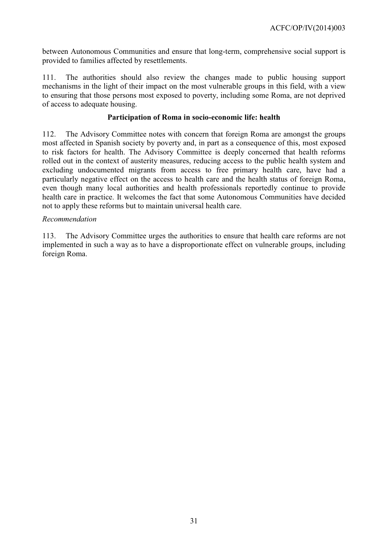between Autonomous Communities and ensure that long-term, comprehensive social support is provided to families affected by resettlements.

111. The authorities should also review the changes made to public housing support mechanisms in the light of their impact on the most vulnerable groups in this field, with a view to ensuring that those persons most exposed to poverty, including some Roma, are not deprived of access to adequate housing.

# **Participation of Roma in socio-economic life: health**

112. The Advisory Committee notes with concern that foreign Roma are amongst the groups most affected in Spanish society by poverty and, in part as a consequence of this, most exposed to risk factors for health. The Advisory Committee is deeply concerned that health reforms rolled out in the context of austerity measures, reducing access to the public health system and excluding undocumented migrants from access to free primary health care, have had a particularly negative effect on the access to health care and the health status of foreign Roma, even though many local authorities and health professionals reportedly continue to provide health care in practice. It welcomes the fact that some Autonomous Communities have decided not to apply these reforms but to maintain universal health care.

## *Recommendation*

113. The Advisory Committee urges the authorities to ensure that health care reforms are not implemented in such a way as to have a disproportionate effect on vulnerable groups, including foreign Roma.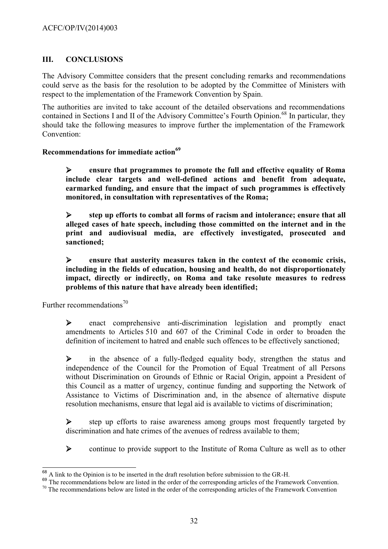# <span id="page-31-0"></span>**III. CONCLUSIONS**

The Advisory Committee considers that the present concluding remarks and recommendations could serve as the basis for the resolution to be adopted by the Committee of Ministers with respect to the implementation of the Framework Convention by Spain.

The authorities are invited to take account of the detailed observations and recommendations contained in Sections I and II of the Advisory Committee's Fourth Opinion.<sup>68</sup> In particular, they should take the following measures to improve further the implementation of the Framework Convention:

## <span id="page-31-1"></span>**Recommendations for immediate action<sup>69</sup>**

¾ **ensure that programmes to promote the full and effective equality of Roma include clear targets and well-defined actions and benefit from adequate, earmarked funding, and ensure that the impact of such programmes is effectively monitored, in consultation with representatives of the Roma;**

¾ **step up efforts to combat all forms of racism and intolerance; ensure that all alleged cases of hate speech, including those committed on the internet and in the print and audiovisual media, are effectively investigated, prosecuted and sanctioned;**

¾ **ensure that austerity measures taken in the context of the economic crisis, including in the fields of education, housing and health, do not disproportionately impact, directly or indirectly, on Roma and take resolute measures to redress problems of this nature that have already been identified;**

<span id="page-31-2"></span>Further recommendations<sup>70</sup>

 $\triangleright$  enact comprehensive anti-discrimination legislation and promptly enact amendments to Articles 510 and 607 of the Criminal Code in order to broaden the definition of incitement to hatred and enable such offences to be effectively sanctioned;

¾ in the absence of a fully-fledged equality body, strengthen the status and independence of the Council for the Promotion of Equal Treatment of all Persons without Discrimination on Grounds of Ethnic or Racial Origin, appoint a President of this Council as a matter of urgency, continue funding and supporting the Network of Assistance to Victims of Discrimination and, in the absence of alternative dispute resolution mechanisms, ensure that legal aid is available to victims of discrimination;

¾ step up efforts to raise awareness among groups most frequently targeted by discrimination and hate crimes of the avenues of redress available to them;

¾ continue to provide support to the Institute of Roma Culture as well as to other

 $\overline{\phantom{a}}$  $^{68}$  A link to the Opinion is to be inserted in the draft resolution before submission to the GR-H.

<sup>&</sup>lt;sup>69</sup> The recommendations below are listed in the order of the corresponding articles of the Framework Convention.

 $70$  The recommendations below are listed in the order of the corresponding articles of the Framework Convention